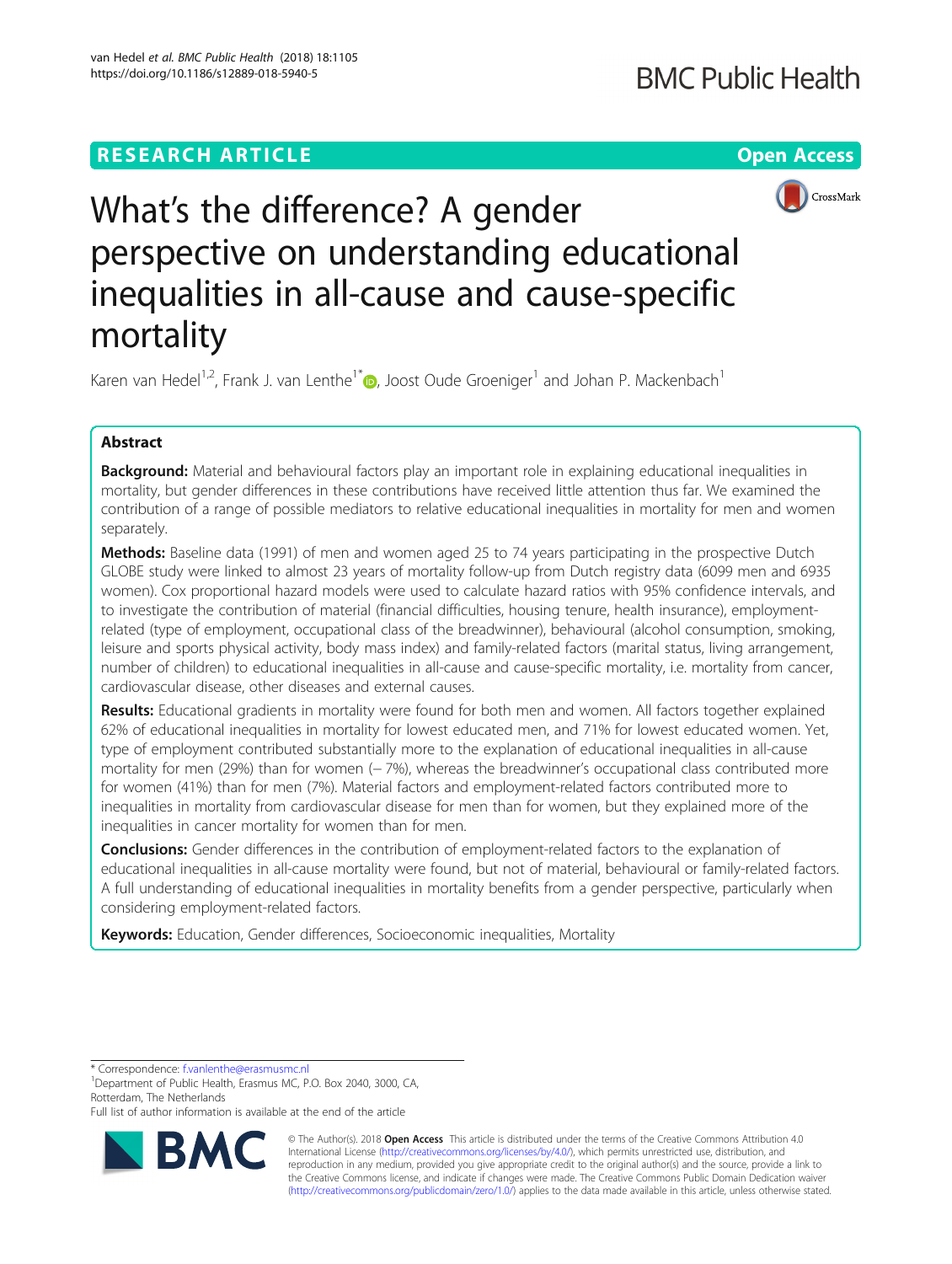# **RESEARCH ARTICLE Example 2018 12:30 THE Open Access**



# What's the difference? A gender perspective on understanding educational inequalities in all-cause and cause-specific mortality

Karen van Hedel<sup>1,2</sup>, Frank J. van Lenthe<sup>1[\\*](http://orcid.org/0000-0001-6402-7075)</sup> <sub>(b</sub>, Joost Oude Groeniger<sup>1</sup> and Johan P. Mackenbach<sup>1</sup>

# Abstract

Background: Material and behavioural factors play an important role in explaining educational inequalities in mortality, but gender differences in these contributions have received little attention thus far. We examined the contribution of a range of possible mediators to relative educational inequalities in mortality for men and women separately.

Methods: Baseline data (1991) of men and women aged 25 to 74 years participating in the prospective Dutch GLOBE study were linked to almost 23 years of mortality follow-up from Dutch registry data (6099 men and 6935 women). Cox proportional hazard models were used to calculate hazard ratios with 95% confidence intervals, and to investigate the contribution of material (financial difficulties, housing tenure, health insurance), employmentrelated (type of employment, occupational class of the breadwinner), behavioural (alcohol consumption, smoking, leisure and sports physical activity, body mass index) and family-related factors (marital status, living arrangement, number of children) to educational inequalities in all-cause and cause-specific mortality, i.e. mortality from cancer, cardiovascular disease, other diseases and external causes.

Results: Educational gradients in mortality were found for both men and women. All factors together explained 62% of educational inequalities in mortality for lowest educated men, and 71% for lowest educated women. Yet, type of employment contributed substantially more to the explanation of educational inequalities in all-cause mortality for men (29%) than for women (− 7%), whereas the breadwinner's occupational class contributed more for women (41%) than for men (7%). Material factors and employment-related factors contributed more to inequalities in mortality from cardiovascular disease for men than for women, but they explained more of the inequalities in cancer mortality for women than for men.

**Conclusions:** Gender differences in the contribution of employment-related factors to the explanation of educational inequalities in all-cause mortality were found, but not of material, behavioural or family-related factors. A full understanding of educational inequalities in mortality benefits from a gender perspective, particularly when considering employment-related factors.

Keywords: Education, Gender differences, Socioeconomic inequalities, Mortality

\* Correspondence: [f.vanlenthe@erasmusmc.nl](mailto:f.vanlenthe@erasmusmc.nl) <sup>1</sup>

<sup>1</sup>Department of Public Health, Erasmus MC, P.O. Box 2040, 3000, CA, Rotterdam, The Netherlands

Full list of author information is available at the end of the article



© The Author(s). 2018 Open Access This article is distributed under the terms of the Creative Commons Attribution 4.0 International License [\(http://creativecommons.org/licenses/by/4.0/](http://creativecommons.org/licenses/by/4.0/)), which permits unrestricted use, distribution, and reproduction in any medium, provided you give appropriate credit to the original author(s) and the source, provide a link to the Creative Commons license, and indicate if changes were made. The Creative Commons Public Domain Dedication waiver [\(http://creativecommons.org/publicdomain/zero/1.0/](http://creativecommons.org/publicdomain/zero/1.0/)) applies to the data made available in this article, unless otherwise stated.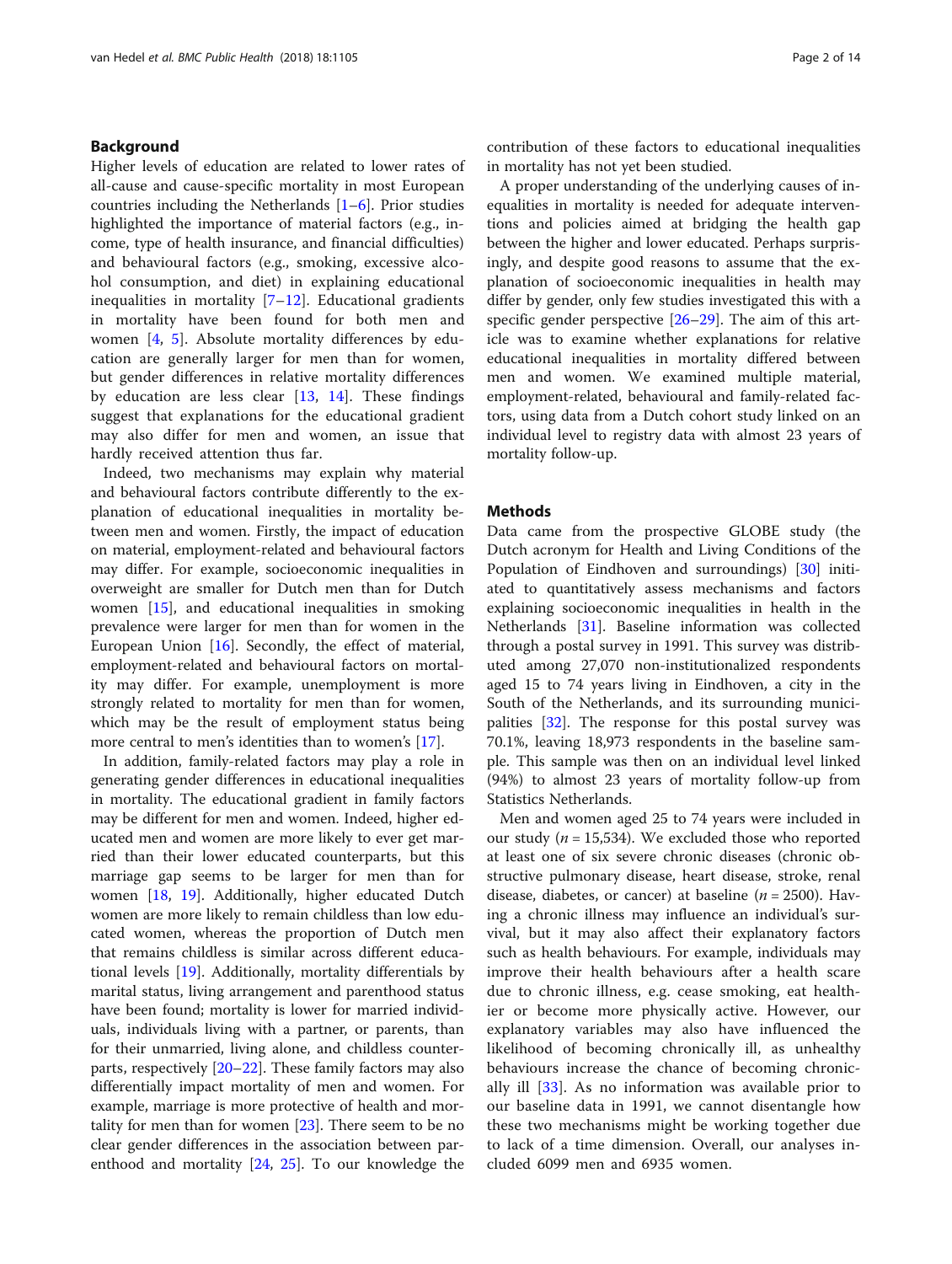# Background

Higher levels of education are related to lower rates of all-cause and cause-specific mortality in most European countries including the Netherlands [\[1](#page-12-0)–[6](#page-12-0)]. Prior studies highlighted the importance of material factors (e.g., income, type of health insurance, and financial difficulties) and behavioural factors (e.g., smoking, excessive alcohol consumption, and diet) in explaining educational inequalities in mortality  $[7-12]$  $[7-12]$  $[7-12]$  $[7-12]$ . Educational gradients in mortality have been found for both men and women [\[4](#page-12-0), [5](#page-12-0)]. Absolute mortality differences by education are generally larger for men than for women, but gender differences in relative mortality differences by education are less clear [\[13](#page-12-0), [14](#page-12-0)]. These findings suggest that explanations for the educational gradient may also differ for men and women, an issue that hardly received attention thus far.

Indeed, two mechanisms may explain why material and behavioural factors contribute differently to the explanation of educational inequalities in mortality between men and women. Firstly, the impact of education on material, employment-related and behavioural factors may differ. For example, socioeconomic inequalities in overweight are smaller for Dutch men than for Dutch women [[15](#page-12-0)], and educational inequalities in smoking prevalence were larger for men than for women in the European Union [\[16\]](#page-12-0). Secondly, the effect of material, employment-related and behavioural factors on mortality may differ. For example, unemployment is more strongly related to mortality for men than for women, which may be the result of employment status being more central to men's identities than to women's [\[17\]](#page-12-0).

In addition, family-related factors may play a role in generating gender differences in educational inequalities in mortality. The educational gradient in family factors may be different for men and women. Indeed, higher educated men and women are more likely to ever get married than their lower educated counterparts, but this marriage gap seems to be larger for men than for women [\[18](#page-12-0), [19\]](#page-12-0). Additionally, higher educated Dutch women are more likely to remain childless than low educated women, whereas the proportion of Dutch men that remains childless is similar across different educational levels [\[19\]](#page-12-0). Additionally, mortality differentials by marital status, living arrangement and parenthood status have been found; mortality is lower for married individuals, individuals living with a partner, or parents, than for their unmarried, living alone, and childless counterparts, respectively [[20](#page-12-0)–[22](#page-12-0)]. These family factors may also differentially impact mortality of men and women. For example, marriage is more protective of health and mortality for men than for women [\[23](#page-12-0)]. There seem to be no clear gender differences in the association between parenthood and mortality [\[24,](#page-12-0) [25](#page-12-0)]. To our knowledge the

contribution of these factors to educational inequalities in mortality has not yet been studied.

A proper understanding of the underlying causes of inequalities in mortality is needed for adequate interventions and policies aimed at bridging the health gap between the higher and lower educated. Perhaps surprisingly, and despite good reasons to assume that the explanation of socioeconomic inequalities in health may differ by gender, only few studies investigated this with a specific gender perspective [[26](#page-12-0)–[29\]](#page-12-0). The aim of this article was to examine whether explanations for relative educational inequalities in mortality differed between men and women. We examined multiple material, employment-related, behavioural and family-related factors, using data from a Dutch cohort study linked on an individual level to registry data with almost 23 years of mortality follow-up.

# **Methods**

Data came from the prospective GLOBE study (the Dutch acronym for Health and Living Conditions of the Population of Eindhoven and surroundings) [[30\]](#page-12-0) initiated to quantitatively assess mechanisms and factors explaining socioeconomic inequalities in health in the Netherlands [\[31\]](#page-12-0). Baseline information was collected through a postal survey in 1991. This survey was distributed among 27,070 non-institutionalized respondents aged 15 to 74 years living in Eindhoven, a city in the South of the Netherlands, and its surrounding municipalities [[32\]](#page-12-0). The response for this postal survey was 70.1%, leaving 18,973 respondents in the baseline sample. This sample was then on an individual level linked (94%) to almost 23 years of mortality follow-up from Statistics Netherlands.

Men and women aged 25 to 74 years were included in our study ( $n = 15,534$ ). We excluded those who reported at least one of six severe chronic diseases (chronic obstructive pulmonary disease, heart disease, stroke, renal disease, diabetes, or cancer) at baseline ( $n = 2500$ ). Having a chronic illness may influence an individual's survival, but it may also affect their explanatory factors such as health behaviours. For example, individuals may improve their health behaviours after a health scare due to chronic illness, e.g. cease smoking, eat healthier or become more physically active. However, our explanatory variables may also have influenced the likelihood of becoming chronically ill, as unhealthy behaviours increase the chance of becoming chronically ill [\[33](#page-12-0)]. As no information was available prior to our baseline data in 1991, we cannot disentangle how these two mechanisms might be working together due to lack of a time dimension. Overall, our analyses included 6099 men and 6935 women.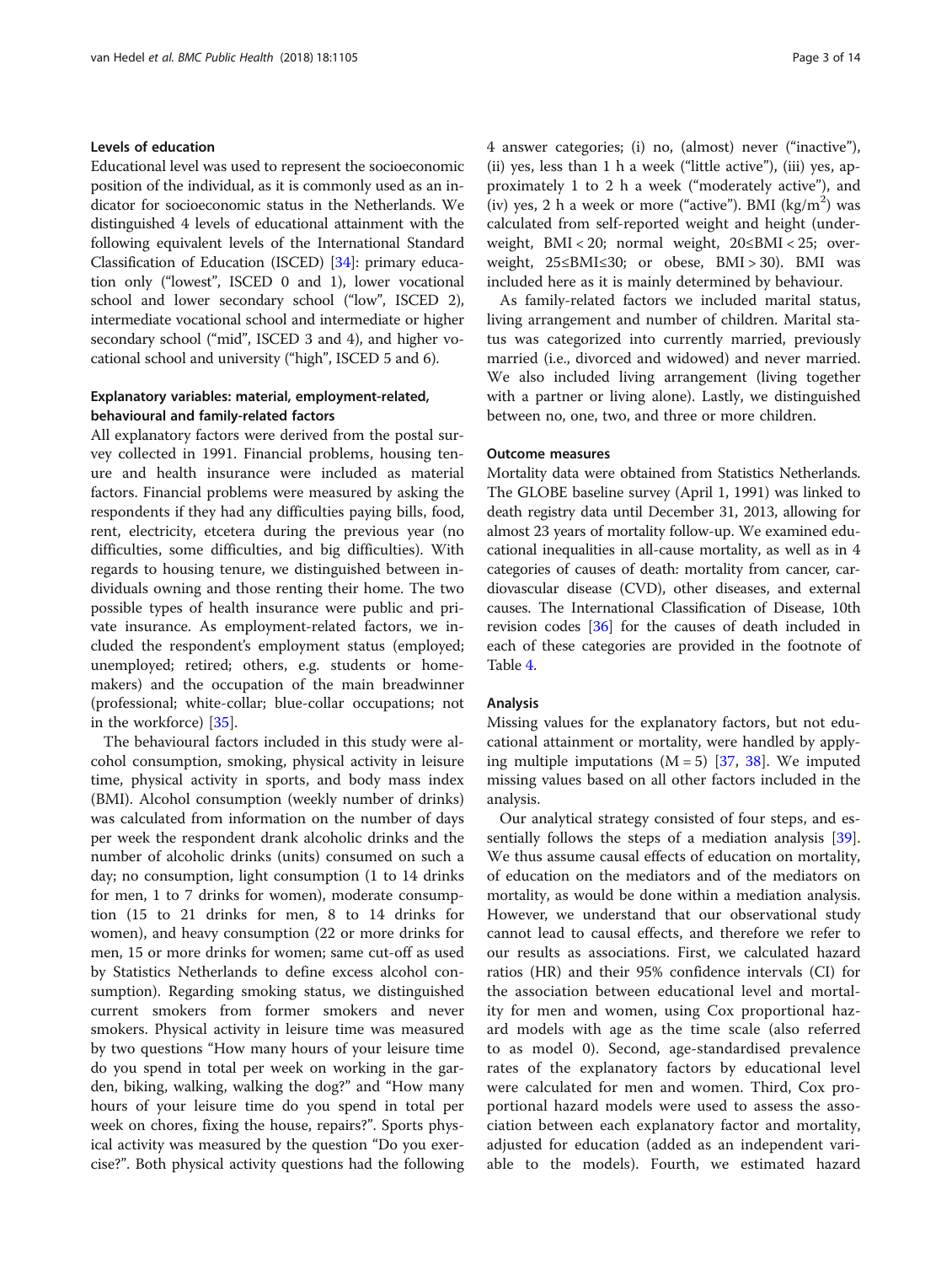# Levels of education

Educational level was used to represent the socioeconomic position of the individual, as it is commonly used as an indicator for socioeconomic status in the Netherlands. We distinguished 4 levels of educational attainment with the following equivalent levels of the International Standard Classification of Education (ISCED) [[34](#page-12-0)]: primary education only ("lowest", ISCED 0 and 1), lower vocational school and lower secondary school ("low", ISCED 2), intermediate vocational school and intermediate or higher secondary school ("mid", ISCED 3 and 4), and higher vocational school and university ("high", ISCED 5 and 6).

# Explanatory variables: material, employment-related, behavioural and family-related factors

All explanatory factors were derived from the postal survey collected in 1991. Financial problems, housing tenure and health insurance were included as material factors. Financial problems were measured by asking the respondents if they had any difficulties paying bills, food, rent, electricity, etcetera during the previous year (no difficulties, some difficulties, and big difficulties). With regards to housing tenure, we distinguished between individuals owning and those renting their home. The two possible types of health insurance were public and private insurance. As employment-related factors, we included the respondent's employment status (employed; unemployed; retired; others, e.g. students or homemakers) and the occupation of the main breadwinner (professional; white-collar; blue-collar occupations; not in the workforce) [[35\]](#page-12-0).

The behavioural factors included in this study were alcohol consumption, smoking, physical activity in leisure time, physical activity in sports, and body mass index (BMI). Alcohol consumption (weekly number of drinks) was calculated from information on the number of days per week the respondent drank alcoholic drinks and the number of alcoholic drinks (units) consumed on such a day; no consumption, light consumption (1 to 14 drinks for men, 1 to 7 drinks for women), moderate consumption (15 to 21 drinks for men, 8 to 14 drinks for women), and heavy consumption (22 or more drinks for men, 15 or more drinks for women; same cut-off as used by Statistics Netherlands to define excess alcohol consumption). Regarding smoking status, we distinguished current smokers from former smokers and never smokers. Physical activity in leisure time was measured by two questions "How many hours of your leisure time do you spend in total per week on working in the garden, biking, walking, walking the dog?" and "How many hours of your leisure time do you spend in total per week on chores, fixing the house, repairs?". Sports physical activity was measured by the question "Do you exercise?". Both physical activity questions had the following 4 answer categories; (i) no, (almost) never ("inactive"), (ii) yes, less than 1 h a week ("little active"), (iii) yes, approximately 1 to 2 h a week ("moderately active"), and (iv) yes, 2 h a week or more ("active"). BMI  $(kg/m<sup>2</sup>)$  was calculated from self-reported weight and height (underweight, BMI < 20; normal weight, 20≤BMI < 25; overweight, 25≤BMI≤30; or obese, BMI > 30). BMI was included here as it is mainly determined by behaviour.

As family-related factors we included marital status, living arrangement and number of children. Marital status was categorized into currently married, previously married (i.e., divorced and widowed) and never married. We also included living arrangement (living together with a partner or living alone). Lastly, we distinguished between no, one, two, and three or more children.

## Outcome measures

Mortality data were obtained from Statistics Netherlands. The GLOBE baseline survey (April 1, 1991) was linked to death registry data until December 31, 2013, allowing for almost 23 years of mortality follow-up. We examined educational inequalities in all-cause mortality, as well as in 4 categories of causes of death: mortality from cancer, cardiovascular disease (CVD), other diseases, and external causes. The International Classification of Disease, 10th revision codes [\[36\]](#page-12-0) for the causes of death included in each of these categories are provided in the footnote of Table [4.](#page-9-0)

# Analysis

Missing values for the explanatory factors, but not educational attainment or mortality, were handled by applying multiple imputations  $(M = 5)$  [\[37](#page-13-0), [38](#page-13-0)]. We imputed missing values based on all other factors included in the analysis.

Our analytical strategy consisted of four steps, and essentially follows the steps of a mediation analysis [\[39](#page-13-0)]. We thus assume causal effects of education on mortality, of education on the mediators and of the mediators on mortality, as would be done within a mediation analysis. However, we understand that our observational study cannot lead to causal effects, and therefore we refer to our results as associations. First, we calculated hazard ratios (HR) and their 95% confidence intervals (CI) for the association between educational level and mortality for men and women, using Cox proportional hazard models with age as the time scale (also referred to as model 0). Second, age-standardised prevalence rates of the explanatory factors by educational level were calculated for men and women. Third, Cox proportional hazard models were used to assess the association between each explanatory factor and mortality, adjusted for education (added as an independent variable to the models). Fourth, we estimated hazard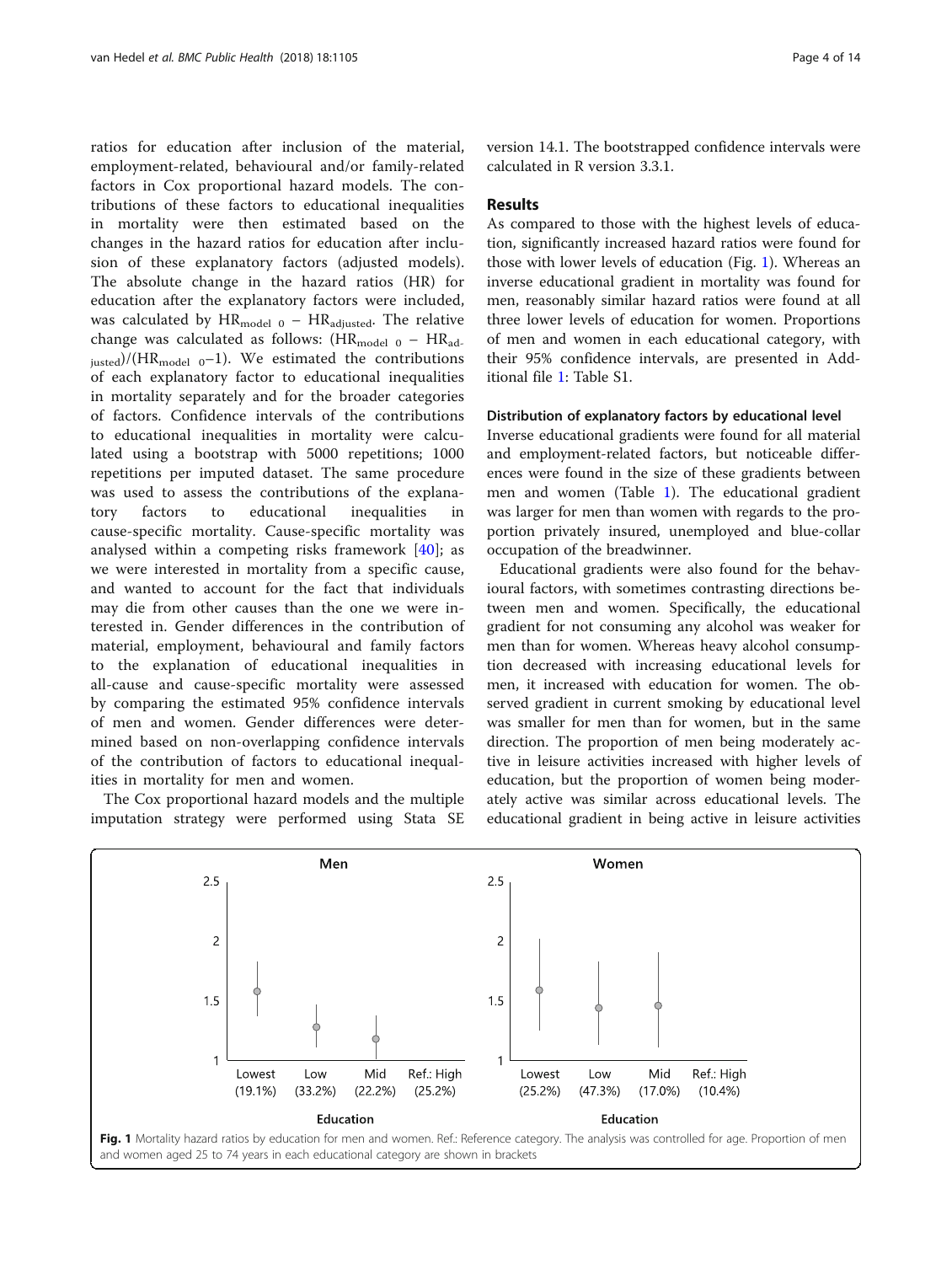ratios for education after inclusion of the material, employment-related, behavioural and/or family-related factors in Cox proportional hazard models. The contributions of these factors to educational inequalities in mortality were then estimated based on the changes in the hazard ratios for education after inclusion of these explanatory factors (adjusted models). The absolute change in the hazard ratios (HR) for education after the explanatory factors were included, was calculated by  $HR_{model 0} - HR_{adjusted}$ . The relative change was calculated as follows:  $(HR_{model 0} - HR_{ad})$  $_{justed})/(HR_{model 0} - 1)$ . We estimated the contributions of each explanatory factor to educational inequalities in mortality separately and for the broader categories of factors. Confidence intervals of the contributions to educational inequalities in mortality were calculated using a bootstrap with 5000 repetitions; 1000 repetitions per imputed dataset. The same procedure was used to assess the contributions of the explanatory factors to educational inequalities in cause-specific mortality. Cause-specific mortality was analysed within a competing risks framework  $[40]$  $[40]$  $[40]$ ; as we were interested in mortality from a specific cause, and wanted to account for the fact that individuals may die from other causes than the one we were interested in. Gender differences in the contribution of material, employment, behavioural and family factors to the explanation of educational inequalities in all-cause and cause-specific mortality were assessed by comparing the estimated 95% confidence intervals of men and women. Gender differences were determined based on non-overlapping confidence intervals of the contribution of factors to educational inequalities in mortality for men and women.

The Cox proportional hazard models and the multiple imputation strategy were performed using Stata SE version 14.1. The bootstrapped confidence intervals were calculated in R version 3.3.1.

# Results

As compared to those with the highest levels of education, significantly increased hazard ratios were found for those with lower levels of education (Fig. 1). Whereas an inverse educational gradient in mortality was found for men, reasonably similar hazard ratios were found at all three lower levels of education for women. Proportions of men and women in each educational category, with their 95% confidence intervals, are presented in Additional file [1:](#page-11-0) Table S1.

#### Distribution of explanatory factors by educational level

Inverse educational gradients were found for all material and employment-related factors, but noticeable differences were found in the size of these gradients between men and women (Table [1](#page-4-0)). The educational gradient was larger for men than women with regards to the proportion privately insured, unemployed and blue-collar occupation of the breadwinner.

Educational gradients were also found for the behavioural factors, with sometimes contrasting directions between men and women. Specifically, the educational gradient for not consuming any alcohol was weaker for men than for women. Whereas heavy alcohol consumption decreased with increasing educational levels for men, it increased with education for women. The observed gradient in current smoking by educational level was smaller for men than for women, but in the same direction. The proportion of men being moderately active in leisure activities increased with higher levels of education, but the proportion of women being moderately active was similar across educational levels. The educational gradient in being active in leisure activities

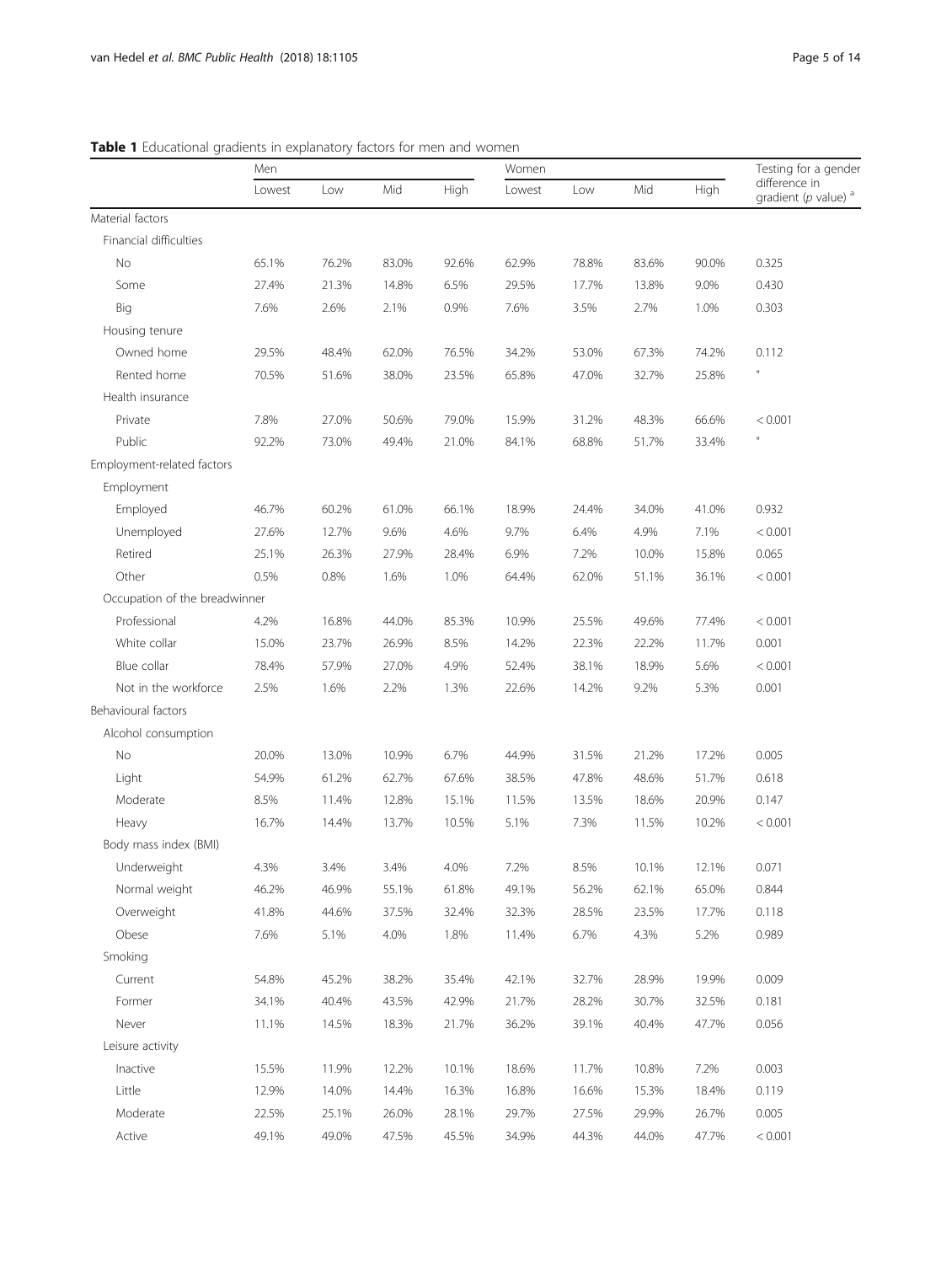|                               | Men    |       |       |       | Women  |       |       | Testing for a gender |                                                     |
|-------------------------------|--------|-------|-------|-------|--------|-------|-------|----------------------|-----------------------------------------------------|
|                               | Lowest | Low   | Mid   | High  | Lowest | Low   | Mid   | High                 | difference in<br>gradient ( $p$ value) <sup>a</sup> |
| Material factors              |        |       |       |       |        |       |       |                      |                                                     |
| Financial difficulties        |        |       |       |       |        |       |       |                      |                                                     |
| No                            | 65.1%  | 76.2% | 83.0% | 92.6% | 62.9%  | 78.8% | 83.6% | 90.0%                | 0.325                                               |
| Some                          | 27.4%  | 21.3% | 14.8% | 6.5%  | 29.5%  | 17.7% | 13.8% | 9.0%                 | 0.430                                               |
| Big                           | 7.6%   | 2.6%  | 2.1%  | 0.9%  | 7.6%   | 3.5%  | 2.7%  | 1.0%                 | 0.303                                               |
| Housing tenure                |        |       |       |       |        |       |       |                      |                                                     |
| Owned home                    | 29.5%  | 48.4% | 62.0% | 76.5% | 34.2%  | 53.0% | 67.3% | 74.2%                | 0.112                                               |
| Rented home                   | 70.5%  | 51.6% | 38.0% | 23.5% | 65.8%  | 47.0% | 32.7% | 25.8%                | $\mathbf{u}$                                        |
| Health insurance              |        |       |       |       |        |       |       |                      |                                                     |
| Private                       | 7.8%   | 27.0% | 50.6% | 79.0% | 15.9%  | 31.2% | 48.3% | 66.6%                | < 0.001                                             |
| Public                        | 92.2%  | 73.0% | 49.4% | 21.0% | 84.1%  | 68.8% | 51.7% | 33.4%                | $\mathbf{u}$                                        |
| Employment-related factors    |        |       |       |       |        |       |       |                      |                                                     |
| Employment                    |        |       |       |       |        |       |       |                      |                                                     |
| Employed                      | 46.7%  | 60.2% | 61.0% | 66.1% | 18.9%  | 24.4% | 34.0% | 41.0%                | 0.932                                               |
| Unemployed                    | 27.6%  | 12.7% | 9.6%  | 4.6%  | 9.7%   | 6.4%  | 4.9%  | 7.1%                 | < 0.001                                             |
| Retired                       | 25.1%  | 26.3% | 27.9% | 28.4% | 6.9%   | 7.2%  | 10.0% | 15.8%                | 0.065                                               |
| Other                         | 0.5%   | 0.8%  | 1.6%  | 1.0%  | 64.4%  | 62.0% | 51.1% | 36.1%                | < 0.001                                             |
| Occupation of the breadwinner |        |       |       |       |        |       |       |                      |                                                     |
| Professional                  | 4.2%   | 16.8% | 44.0% | 85.3% | 10.9%  | 25.5% | 49.6% | 77.4%                | < 0.001                                             |
| White collar                  | 15.0%  | 23.7% | 26.9% | 8.5%  | 14.2%  | 22.3% | 22.2% | 11.7%                | 0.001                                               |
| Blue collar                   | 78.4%  | 57.9% | 27.0% | 4.9%  | 52.4%  | 38.1% | 18.9% | 5.6%                 | < 0.001                                             |
| Not in the workforce          | 2.5%   | 1.6%  | 2.2%  | 1.3%  | 22.6%  | 14.2% | 9.2%  | 5.3%                 | 0.001                                               |
| Behavioural factors           |        |       |       |       |        |       |       |                      |                                                     |
| Alcohol consumption           |        |       |       |       |        |       |       |                      |                                                     |
| No                            | 20.0%  | 13.0% | 10.9% | 6.7%  | 44.9%  | 31.5% | 21.2% | 17.2%                | 0.005                                               |
| Light                         | 54.9%  | 61.2% | 62.7% | 67.6% | 38.5%  | 47.8% | 48.6% | 51.7%                | 0.618                                               |
| Moderate                      | 8.5%   | 11.4% | 12.8% | 15.1% | 11.5%  | 13.5% | 18.6% | 20.9%                | 0.147                                               |
| Heavy                         | 16.7%  | 14.4% | 13.7% | 10.5% | 5.1%   | 7.3%  | 11.5% | 10.2%                | < 0.001                                             |
| Body mass index (BMI)         |        |       |       |       |        |       |       |                      |                                                     |
| Underweight                   | 4.3%   | 3.4%  | 3.4%  | 4.0%  | 7.2%   | 8.5%  | 10.1% | 12.1%                | 0.071                                               |
| Normal weight                 | 46.2%  | 46.9% | 55.1% | 61.8% | 49.1%  | 56.2% | 62.1% | 65.0%                | 0.844                                               |
| Overweight                    | 41.8%  | 44.6% | 37.5% | 32.4% | 32.3%  | 28.5% | 23.5% | 17.7%                | 0.118                                               |
| Obese                         | 7.6%   | 5.1%  | 4.0%  | 1.8%  | 11.4%  | 6.7%  | 4.3%  | 5.2%                 | 0.989                                               |
| Smoking                       |        |       |       |       |        |       |       |                      |                                                     |
| Current                       | 54.8%  | 45.2% | 38.2% | 35.4% | 42.1%  | 32.7% | 28.9% | 19.9%                | 0.009                                               |
| Former                        | 34.1%  | 40.4% | 43.5% | 42.9% | 21.7%  | 28.2% | 30.7% | 32.5%                | 0.181                                               |
| Never                         | 11.1%  | 14.5% | 18.3% | 21.7% | 36.2%  | 39.1% | 40.4% | 47.7%                | 0.056                                               |
| Leisure activity              |        |       |       |       |        |       |       |                      |                                                     |
| Inactive                      | 15.5%  | 11.9% | 12.2% | 10.1% | 18.6%  | 11.7% | 10.8% | 7.2%                 | 0.003                                               |
| Little                        | 12.9%  | 14.0% | 14.4% | 16.3% | 16.8%  | 16.6% | 15.3% | 18.4%                | 0.119                                               |
| Moderate                      | 22.5%  | 25.1% | 26.0% | 28.1% | 29.7%  | 27.5% | 29.9% | 26.7%                | 0.005                                               |
| Active                        | 49.1%  | 49.0% | 47.5% | 45.5% | 34.9%  | 44.3% | 44.0% | 47.7%                | < 0.001                                             |

<span id="page-4-0"></span>Table 1 Educational gradients in explanatory factors for men and women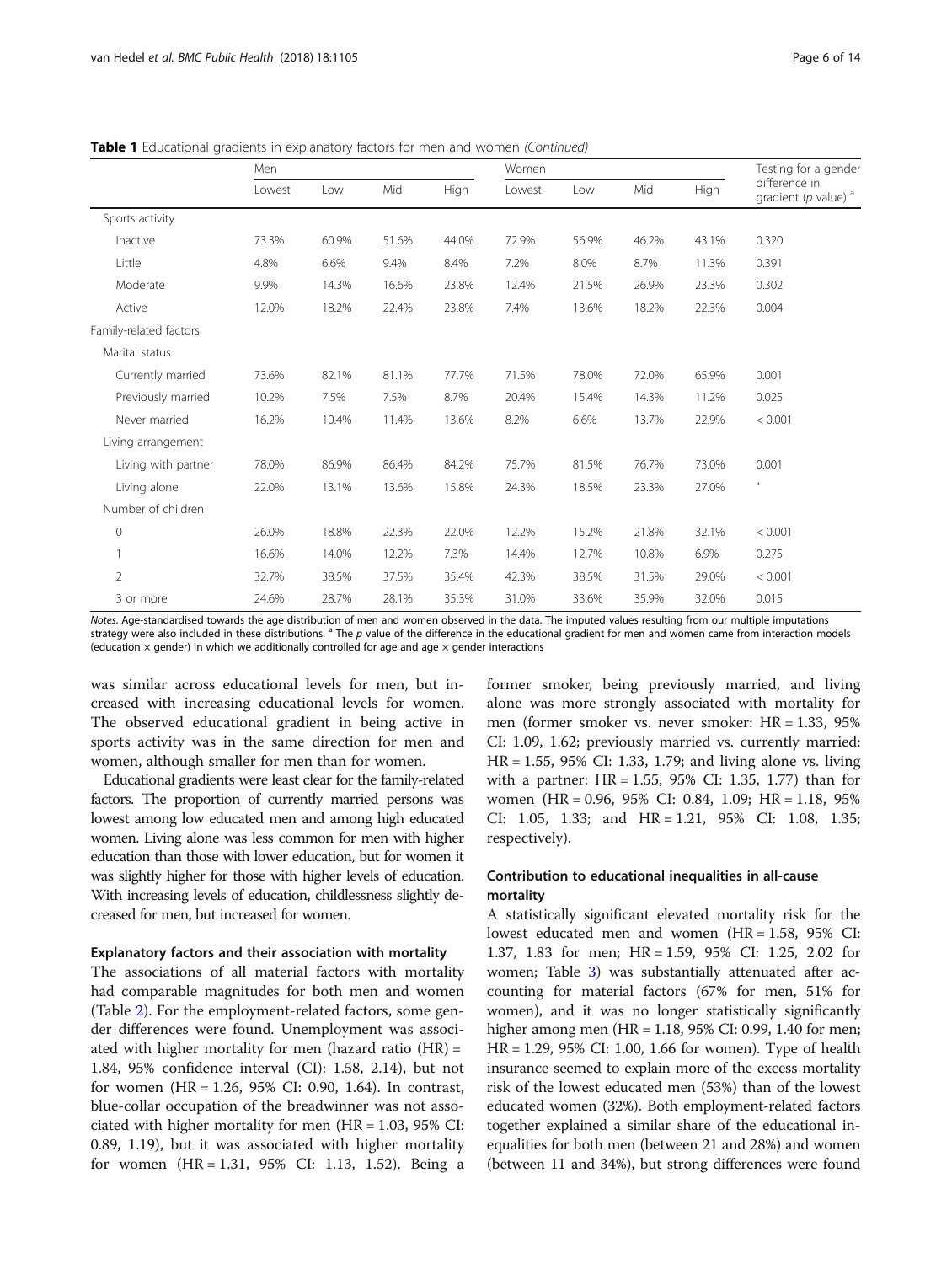|                        | Men    |       |       |             | Women  |       |       |       | Testing for a gender                                |
|------------------------|--------|-------|-------|-------------|--------|-------|-------|-------|-----------------------------------------------------|
|                        | Lowest | Low   | Mid   | <b>High</b> | Lowest | Low   | Mid   | High  | difference in<br>gradient ( $p$ value) <sup>a</sup> |
| Sports activity        |        |       |       |             |        |       |       |       |                                                     |
| Inactive               | 73.3%  | 60.9% | 51.6% | 44.0%       | 72.9%  | 56.9% | 46.2% | 43.1% | 0.320                                               |
| Little                 | 4.8%   | 6.6%  | 9.4%  | 8.4%        | 7.2%   | 8.0%  | 8.7%  | 11.3% | 0.391                                               |
| Moderate               | 9.9%   | 14.3% | 16.6% | 23.8%       | 12.4%  | 21.5% | 26.9% | 23.3% | 0.302                                               |
| Active                 | 12.0%  | 18.2% | 22.4% | 23.8%       | 7.4%   | 13.6% | 18.2% | 22.3% | 0.004                                               |
| Family-related factors |        |       |       |             |        |       |       |       |                                                     |
| Marital status         |        |       |       |             |        |       |       |       |                                                     |
| Currently married      | 73.6%  | 82.1% | 81.1% | 77.7%       | 71.5%  | 78.0% | 72.0% | 65.9% | 0.001                                               |
| Previously married     | 10.2%  | 7.5%  | 7.5%  | 8.7%        | 20.4%  | 15.4% | 14.3% | 11.2% | 0.025                                               |
| Never married          | 16.2%  | 10.4% | 11.4% | 13.6%       | 8.2%   | 6.6%  | 13.7% | 22.9% | < 0.001                                             |
| Living arrangement     |        |       |       |             |        |       |       |       |                                                     |
| Living with partner    | 78.0%  | 86.9% | 86.4% | 84.2%       | 75.7%  | 81.5% | 76.7% | 73.0% | 0.001                                               |
| Living alone           | 22.0%  | 13.1% | 13.6% | 15.8%       | 24.3%  | 18.5% | 23.3% | 27.0% | $\mathbf{H}$                                        |
| Number of children     |        |       |       |             |        |       |       |       |                                                     |
| $\mathbf{0}$           | 26.0%  | 18.8% | 22.3% | 22.0%       | 12.2%  | 15.2% | 21.8% | 32.1% | < 0.001                                             |
| 1                      | 16.6%  | 14.0% | 12.2% | 7.3%        | 14.4%  | 12.7% | 10.8% | 6.9%  | 0.275                                               |
| 2                      | 32.7%  | 38.5% | 37.5% | 35.4%       | 42.3%  | 38.5% | 31.5% | 29.0% | < 0.001                                             |
| 3 or more              | 24.6%  | 28.7% | 28.1% | 35.3%       | 31.0%  | 33.6% | 35.9% | 32.0% | 0.015                                               |

**Table 1** Educational gradients in explanatory factors for men and women (Continued)

Notes. Age-standardised towards the age distribution of men and women observed in the data. The imputed values resulting from our multiple imputations strategy were also included in these distributions.  $a^3$  The p value of the difference in the educational gradient for men and women came from interaction models (education  $\times$  gender) in which we additionally controlled for age and age  $\times$  gender interactions

was similar across educational levels for men, but increased with increasing educational levels for women. The observed educational gradient in being active in sports activity was in the same direction for men and women, although smaller for men than for women.

Educational gradients were least clear for the family-related factors. The proportion of currently married persons was lowest among low educated men and among high educated women. Living alone was less common for men with higher education than those with lower education, but for women it was slightly higher for those with higher levels of education. With increasing levels of education, childlessness slightly decreased for men, but increased for women.

#### Explanatory factors and their association with mortality

The associations of all material factors with mortality had comparable magnitudes for both men and women (Table [2\)](#page-6-0). For the employment-related factors, some gender differences were found. Unemployment was associated with higher mortality for men (hazard ratio (HR) = 1.84, 95% confidence interval (CI): 1.58, 2.14), but not for women (HR = 1.26, 95% CI: 0.90, 1.64). In contrast, blue-collar occupation of the breadwinner was not associated with higher mortality for men  $(HR = 1.03, 95\% \text{ CI:})$ 0.89, 1.19), but it was associated with higher mortality for women (HR = 1.31, 95% CI: 1.13, 1.52). Being a

former smoker, being previously married, and living alone was more strongly associated with mortality for men (former smoker vs. never smoker: HR = 1.33, 95% CI: 1.09, 1.62; previously married vs. currently married: HR = 1.55, 95% CI: 1.33, 1.79; and living alone vs. living with a partner: HR = 1.55, 95% CI: 1.35, 1.77) than for women (HR = 0.96, 95% CI: 0.84, 1.09; HR = 1.18, 95% CI: 1.05, 1.33; and HR = 1.21, 95% CI: 1.08, 1.35; respectively).

# Contribution to educational inequalities in all-cause mortality

A statistically significant elevated mortality risk for the lowest educated men and women (HR = 1.58, 95% CI: 1.37, 1.83 for men; HR = 1.59, 95% CI: 1.25, 2.02 for women; Table [3](#page-8-0)) was substantially attenuated after accounting for material factors (67% for men, 51% for women), and it was no longer statistically significantly higher among men (HR = 1.18, 95% CI: 0.99, 1.40 for men; HR = 1.29, 95% CI: 1.00, 1.66 for women). Type of health insurance seemed to explain more of the excess mortality risk of the lowest educated men (53%) than of the lowest educated women (32%). Both employment-related factors together explained a similar share of the educational inequalities for both men (between 21 and 28%) and women (between 11 and 34%), but strong differences were found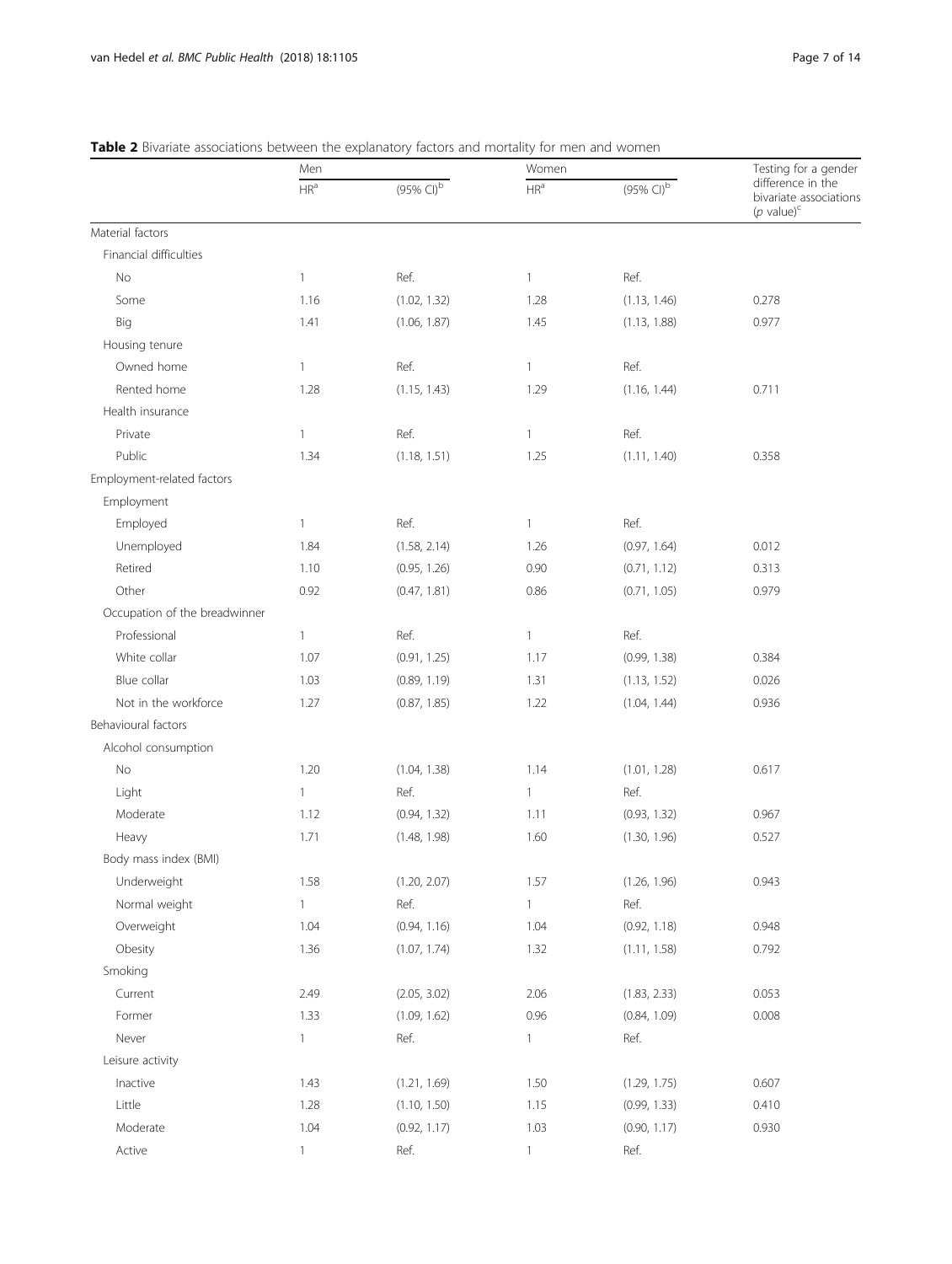|                               | Men                      |                          | Women           |                          | Testing for a gender                                            |
|-------------------------------|--------------------------|--------------------------|-----------------|--------------------------|-----------------------------------------------------------------|
|                               | $\mathsf{HR}^\mathsf{a}$ | $(95\%$ CI) <sup>b</sup> | HR <sup>a</sup> | $(95\%$ CI) <sup>b</sup> | difference in the<br>bivariate associations<br>( $p$ value) $c$ |
| Material factors              |                          |                          |                 |                          |                                                                 |
| Financial difficulties        |                          |                          |                 |                          |                                                                 |
| No                            | $\mathbf{1}$             | Ref.                     | $\mathbf{1}$    | Ref.                     |                                                                 |
| Some                          | 1.16                     | (1.02, 1.32)             | 1.28            | (1.13, 1.46)             | 0.278                                                           |
| Big                           | 1.41                     | (1.06, 1.87)             | 1.45            | (1.13, 1.88)             | 0.977                                                           |
| Housing tenure                |                          |                          |                 |                          |                                                                 |
| Owned home                    | $\mathbf{1}$             | Ref.                     | $\mathbf{1}$    | Ref.                     |                                                                 |
| Rented home                   | 1.28                     | (1.15, 1.43)             | 1.29            | (1.16, 1.44)             | 0.711                                                           |
| Health insurance              |                          |                          |                 |                          |                                                                 |
| Private                       | $\mathbf{1}$             | Ref.                     | $\mathbf{1}$    | Ref.                     |                                                                 |
| Public                        | 1.34                     | (1.18, 1.51)             | 1.25            | (1.11, 1.40)             | 0.358                                                           |
| Employment-related factors    |                          |                          |                 |                          |                                                                 |
| Employment                    |                          |                          |                 |                          |                                                                 |
| Employed                      | $\mathbf{1}$             | Ref.                     | $\mathbf{1}$    | Ref.                     |                                                                 |
| Unemployed                    | 1.84                     | (1.58, 2.14)             | 1.26            | (0.97, 1.64)             | 0.012                                                           |
| Retired                       | 1.10                     | (0.95, 1.26)             | 0.90            | (0.71, 1.12)             | 0.313                                                           |
| Other                         | 0.92                     | (0.47, 1.81)             | 0.86            | (0.71, 1.05)             | 0.979                                                           |
| Occupation of the breadwinner |                          |                          |                 |                          |                                                                 |
| Professional                  | $\mathbf{1}$             | Ref.                     | $\mathbf{1}$    | Ref.                     |                                                                 |
| White collar                  | 1.07                     | (0.91, 1.25)             | 1.17            | (0.99, 1.38)             | 0.384                                                           |
| Blue collar                   | 1.03                     | (0.89, 1.19)             | 1.31            | (1.13, 1.52)             | 0.026                                                           |
| Not in the workforce          | 1.27                     | (0.87, 1.85)             | 1.22            | (1.04, 1.44)             | 0.936                                                           |
| Behavioural factors           |                          |                          |                 |                          |                                                                 |
| Alcohol consumption           |                          |                          |                 |                          |                                                                 |
| $\rm No$                      | 1.20                     | (1.04, 1.38)             | 1.14            | (1.01, 1.28)             | 0.617                                                           |
| Light                         | $\mathbf{1}$             | Ref.                     | $\mathbf{1}$    | Ref.                     |                                                                 |
| Moderate                      | 1.12                     | (0.94, 1.32)             | 1.11            | (0.93, 1.32)             | 0.967                                                           |
| Heavy                         | 1.71                     | (1.48, 1.98)             | 1.60            | (1.30, 1.96)             | 0.527                                                           |
| Body mass index (BMI)         |                          |                          |                 |                          |                                                                 |
| Underweight                   | 1.58                     | (1.20, 2.07)             | 1.57            | (1.26, 1.96)             | 0.943                                                           |
| Normal weight                 | $\mathbf{1}$             | Ref.                     | $\mathbf{1}$    | Ref.                     |                                                                 |
| Overweight                    | 1.04                     | (0.94, 1.16)             | 1.04            | (0.92, 1.18)             | 0.948                                                           |
| Obesity                       | 1.36                     | (1.07, 1.74)             | 1.32            | (1.11, 1.58)             | 0.792                                                           |
| Smoking                       |                          |                          |                 |                          |                                                                 |
| Current                       | 2.49                     | (2.05, 3.02)             | 2.06            | (1.83, 2.33)             | 0.053                                                           |
| Former                        | 1.33                     | (1.09, 1.62)             | 0.96            | (0.84, 1.09)             | 0.008                                                           |
| Never                         | $\mathbf{1}$             | Ref.                     | $\mathbf{1}$    | Ref.                     |                                                                 |
| Leisure activity              |                          |                          |                 |                          |                                                                 |
| Inactive                      | 1.43                     | (1.21, 1.69)             | 1.50            | (1.29, 1.75)             | 0.607                                                           |
| Little                        | 1.28                     | (1.10, 1.50)             | 1.15            | (0.99, 1.33)             | 0.410                                                           |
| Moderate                      | 1.04                     | (0.92, 1.17)             | 1.03            | (0.90, 1.17)             | 0.930                                                           |
| Active                        | $\mathbf{1}$             | Ref.                     | $\mathbf{1}$    | Ref.                     |                                                                 |

# <span id="page-6-0"></span>Table 2 Bivariate associations between the explanatory factors and mortality for men and women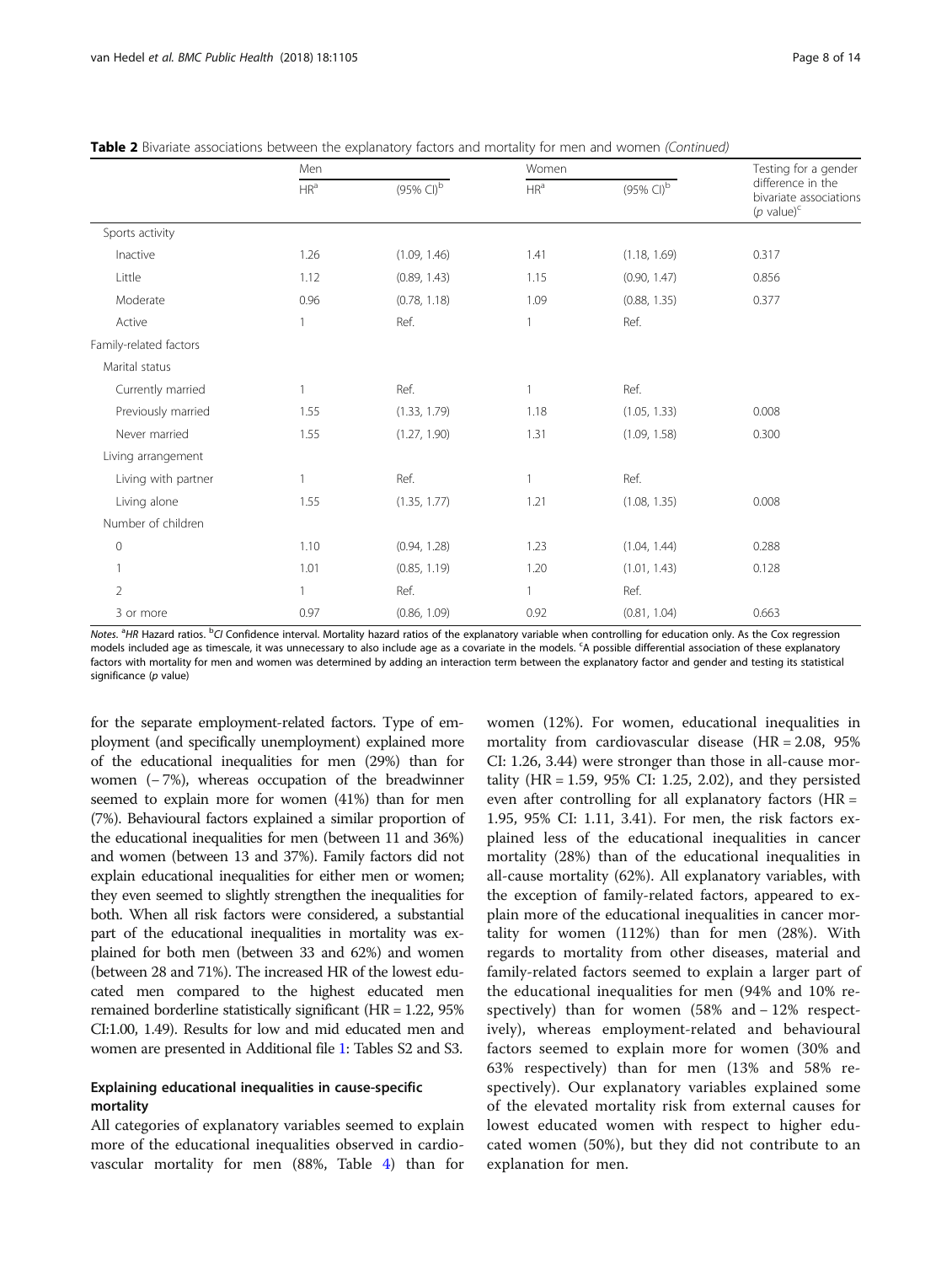|                        | Men             |                          | Women                    |                          | Testing for a gender<br>difference in the<br>bivariate associations<br>$(p \text{ value})^c$ |  |
|------------------------|-----------------|--------------------------|--------------------------|--------------------------|----------------------------------------------------------------------------------------------|--|
|                        | HR <sup>a</sup> | $(95\%$ CI) <sup>b</sup> | $\mathsf{HR}^\mathsf{a}$ | $(95\%$ CI) <sup>b</sup> |                                                                                              |  |
| Sports activity        |                 |                          |                          |                          |                                                                                              |  |
| Inactive               | 1.26            | (1.09, 1.46)             | 1.41                     | (1.18, 1.69)             | 0.317                                                                                        |  |
| Little                 | 1.12            | (0.89, 1.43)             | 1.15                     | (0.90, 1.47)             | 0.856                                                                                        |  |
| Moderate               | 0.96            | (0.78, 1.18)             | 1.09                     | (0.88, 1.35)             | 0.377                                                                                        |  |
| Active                 | $\mathbf{1}$    | Ref.                     | $\mathbf{1}$             | Ref.                     |                                                                                              |  |
| Family-related factors |                 |                          |                          |                          |                                                                                              |  |
| Marital status         |                 |                          |                          |                          |                                                                                              |  |
| Currently married      | $\mathbf{1}$    | Ref.                     | $\mathbf{1}$             | Ref.                     |                                                                                              |  |
| Previously married     | 1.55            | (1.33, 1.79)             | 1.18                     | (1.05, 1.33)             | 0.008                                                                                        |  |
| Never married          | 1.55            | (1.27, 1.90)             | 1.31                     | (1.09, 1.58)             | 0.300                                                                                        |  |
| Living arrangement     |                 |                          |                          |                          |                                                                                              |  |
| Living with partner    | $\mathbf{1}$    | Ref.                     | $\mathbf{1}$             | Ref.                     |                                                                                              |  |
| Living alone           | 1.55            | (1.35, 1.77)             | 1.21                     | (1.08, 1.35)             | 0.008                                                                                        |  |
| Number of children     |                 |                          |                          |                          |                                                                                              |  |
| $\mathbf 0$            | 1.10            | (0.94, 1.28)             | 1.23                     | (1.04, 1.44)             | 0.288                                                                                        |  |
| $\mathbf{1}$           | 1.01            | (0.85, 1.19)             | 1.20                     | (1.01, 1.43)             | 0.128                                                                                        |  |
| $\overline{2}$         | $\mathbf{1}$    | Ref.                     | $\mathbf{1}$             | Ref.                     |                                                                                              |  |
| 3 or more              | 0.97            | (0.86, 1.09)             | 0.92                     | (0.81, 1.04)             | 0.663                                                                                        |  |

|  | Table 2 Bivariate associations between the explanatory factors and mortality for men and women (Continued) |  |  |  |  |  |
|--|------------------------------------------------------------------------------------------------------------|--|--|--|--|--|
|  |                                                                                                            |  |  |  |  |  |

Notes. <sup>a</sup>HR Hazard ratios. <sup>b</sup>CI Confidence interval. Mortality hazard ratios of the explanatory variable when controlling for education only. As the Cox regression models included age as timescale, it was unnecessary to also include age as a covariate in the models. <sup>c</sup>A possible differential association of these explanatory factors with mortality for men and women was determined by adding an interaction term between the explanatory factor and gender and testing its statistical significance (p value)

for the separate employment-related factors. Type of employment (and specifically unemployment) explained more of the educational inequalities for men (29%) than for women (− 7%), whereas occupation of the breadwinner seemed to explain more for women (41%) than for men (7%). Behavioural factors explained a similar proportion of the educational inequalities for men (between 11 and 36%) and women (between 13 and 37%). Family factors did not explain educational inequalities for either men or women; they even seemed to slightly strengthen the inequalities for both. When all risk factors were considered, a substantial part of the educational inequalities in mortality was explained for both men (between 33 and 62%) and women (between 28 and 71%). The increased HR of the lowest educated men compared to the highest educated men remained borderline statistically significant (HR = 1.22, 95% CI:1.00, 1.49). Results for low and mid educated men and women are presented in Additional file [1:](#page-11-0) Tables S2 and S3.

# Explaining educational inequalities in cause-specific mortality

All categories of explanatory variables seemed to explain more of the educational inequalities observed in cardiovascular mortality for men (88%, Table [4](#page-9-0)) than for

women (12%). For women, educational inequalities in mortality from cardiovascular disease (HR = 2.08, 95% CI: 1.26, 3.44) were stronger than those in all-cause mortality (HR = 1.59, 95% CI: 1.25, 2.02), and they persisted even after controlling for all explanatory factors (HR = 1.95, 95% CI: 1.11, 3.41). For men, the risk factors explained less of the educational inequalities in cancer mortality (28%) than of the educational inequalities in all-cause mortality (62%). All explanatory variables, with the exception of family-related factors, appeared to explain more of the educational inequalities in cancer mortality for women (112%) than for men (28%). With regards to mortality from other diseases, material and family-related factors seemed to explain a larger part of the educational inequalities for men (94% and 10% respectively) than for women (58% and − 12% respectively), whereas employment-related and behavioural factors seemed to explain more for women (30% and 63% respectively) than for men (13% and 58% respectively). Our explanatory variables explained some of the elevated mortality risk from external causes for lowest educated women with respect to higher educated women (50%), but they did not contribute to an explanation for men.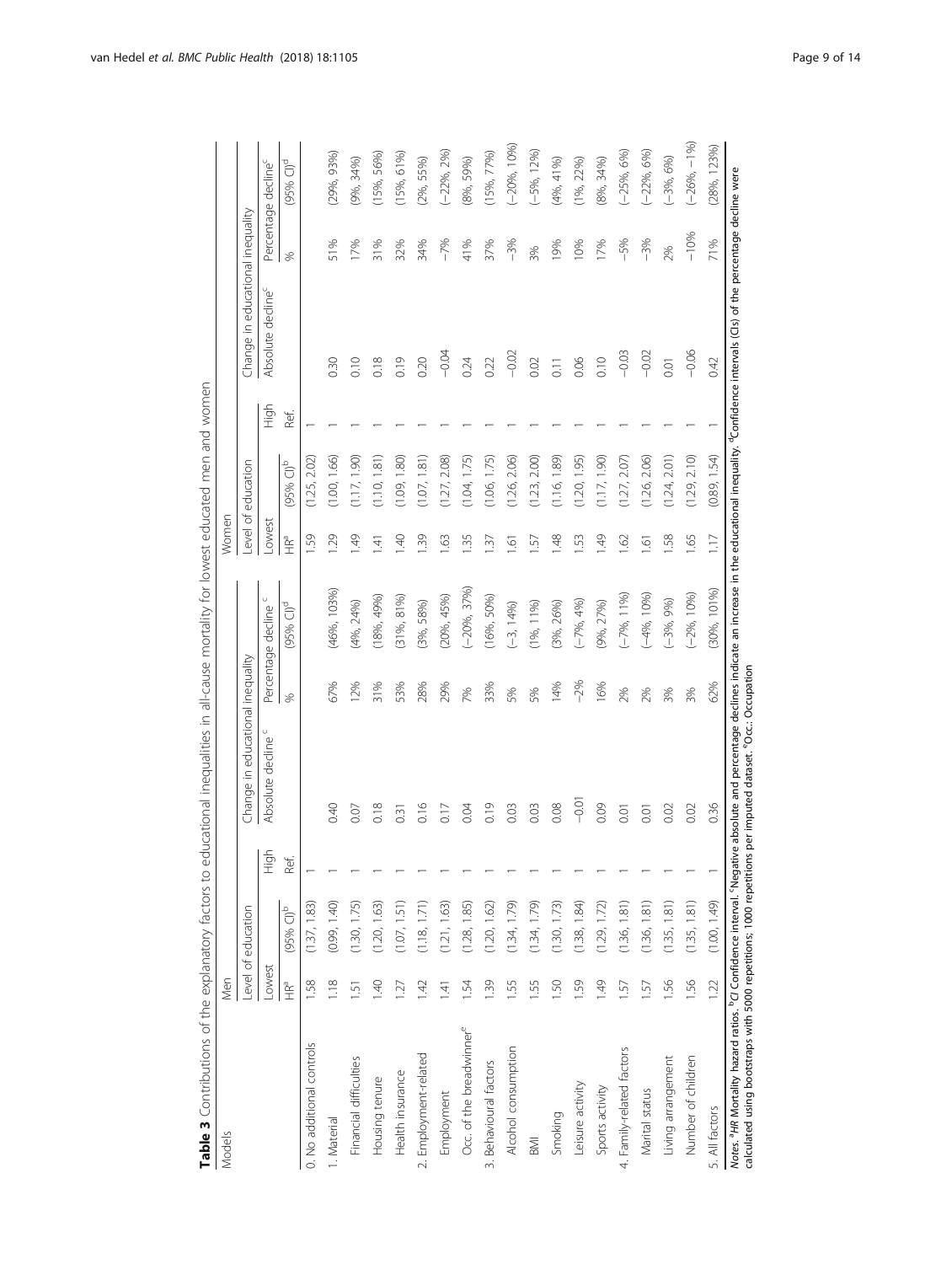<span id="page-8-0"></span>

| Models                                                                                                                                                                                                                             | Men              |                          |      |                                                                                                                                                                |       |                         | Women             |                         |      |                                  |                 |                                 |
|------------------------------------------------------------------------------------------------------------------------------------------------------------------------------------------------------------------------------------|------------------|--------------------------|------|----------------------------------------------------------------------------------------------------------------------------------------------------------------|-------|-------------------------|-------------------|-------------------------|------|----------------------------------|-----------------|---------------------------------|
|                                                                                                                                                                                                                                    |                  | Level of education       |      | Change in educational inequality                                                                                                                               |       |                         |                   | Level of education      |      | Change in educational inequality |                 |                                 |
|                                                                                                                                                                                                                                    | Lowest           |                          | ligh | Absolute decline                                                                                                                                               |       | U<br>Percentage decline | -owest            |                         | High | Absolute decline <sup>c</sup>    |                 | Percentage decline <sup>c</sup> |
|                                                                                                                                                                                                                                    | <b>THE</b>       | $(95\%$ CI) <sup>b</sup> | Ref. |                                                                                                                                                                | ×,    | (95% Cl) <sup>d</sup>   | <b>Feb</b>        | $(95%$ CI) <sup>b</sup> | Ref. |                                  | S,              | $(95%$ Cl) <sup>d</sup>         |
| 0. No additional controls                                                                                                                                                                                                          | 58               | (1.37, 1.83)             |      |                                                                                                                                                                |       |                         | 59                | (1.25, 2.02)            |      |                                  |                 |                                 |
| 1. Material                                                                                                                                                                                                                        | 1.18             | (0.99, 1.40)             |      | 0.40                                                                                                                                                           | 67%   | (46%, 103%)             | 1.29              | (1.00, 1.66)            |      | 0.30                             | 51%             | (29%, 93%)                      |
| Financial difficulties                                                                                                                                                                                                             | $\overline{5}$   | (1.30, 1.75)             |      | 0.07                                                                                                                                                           | 12%   | $(4\%, 24\%)$           | $\frac{49}{5}$    | (1.17, 1.90)            |      | 0.10                             | 17%             | (9%, 34%)                       |
| Housing tenure                                                                                                                                                                                                                     | 940              | (1.20, 1.63)             |      | 0.18                                                                                                                                                           | 31%   | (18%, 49%)              | 141               | (1.10, 1.81)            |      | 0.18                             | 31%             | $(15\%, 56\%)$                  |
| Health insurance                                                                                                                                                                                                                   | 127              | (1.07, 1.51)             |      | 0.31                                                                                                                                                           | 53%   | $(31\%, 81\%)$          | 1.40              | (1.09, 1.80)            |      | 0.19                             | 32%             | (15%6, 61%                      |
| 2. Employment-related                                                                                                                                                                                                              | 142              | (1.18, 1.71)             |      | 0.16                                                                                                                                                           | 28%   | (3%, 58%)               | 1.39              | (1.07, 1.81)            |      | 0.20                             | 34%             | $(2\%, 55\%)$                   |
| Employment                                                                                                                                                                                                                         | $\overline{141}$ | (1.21, 1.63)             |      | 0.17                                                                                                                                                           | 29%   | (20%, 45%)              | 1.63              | (1.27, 2.08)            |      | $-0.04$                          | $-7%$           | $(-22%, 2%)$                    |
| Occ. of the breadwinner <sup>e</sup>                                                                                                                                                                                               | 54               | (1.28, 1.85)             |      | 0.04                                                                                                                                                           | 7%    | $(-20%, 37%)$           | 1.35              | (1.04, 1.75)            |      | 0.24                             | 41%             | (8%, 59%)                       |
| 3. Behavioural factors                                                                                                                                                                                                             | 1.39             | (1.20, 1.62)             |      | 0.19                                                                                                                                                           | 33%   | (16% 50%)               | 1.37              | (1.06, 1.75)            |      | 0.22                             | 37%             | (15%77%)                        |
| Alcohol consumption                                                                                                                                                                                                                | 1.55             | (1.34, 1.79)             |      | 0.03                                                                                                                                                           | 5%    | $(-3, 14%)$             | 1.61              | (1.26, 2.06)            |      | $-0.02$                          | $-3%$           | $(-20%, 10%)$                   |
| <b>M</b>                                                                                                                                                                                                                           | 1.55             | (1.34, 1.79)             |      | 0.03                                                                                                                                                           | 5%    | $(1\%, 11\%)$           | 1.57              | (1.23, 2.00)            |      | 0.02                             | 3%              | $(-5%, 12%)$                    |
| Smoking                                                                                                                                                                                                                            | <b>1.50</b>      | (1.30, 1.73)             |      | 0.08                                                                                                                                                           | 14%   | $(3\%, 26\%)$           | 1.48              | (1.16, 1.89)            |      | $\overline{0}$ .                 | $\frac{9\%}{2}$ | (4%, 41%)                       |
| Leisure activity                                                                                                                                                                                                                   | <b>1.59</b>      | (1.38, 1.84)             |      | $-0.0$                                                                                                                                                         | $-2%$ | $(-7%, 4%)$             | 1.53              | (1.20, 1.95)            |      | 0.06                             | 10%             | $(1\%, 22\%)$                   |
| Sports activity                                                                                                                                                                                                                    | $\frac{49}{5}$   | (1.29, 1.72)             |      | 0.09                                                                                                                                                           | 16%   | (9%, 27%)               | 1.49              | (1.17, 1.90)            |      | 0.10                             | 17%             | (8%, 34%)                       |
| 4. Family-related factors                                                                                                                                                                                                          | 57               | (1.36, 1.81)             |      | 0.01                                                                                                                                                           | 2%    | $(-7%, 11%$             | 1.62              | (1.27, 2.07)            |      | $-0.03$                          | $-5%$           | $(-25\%, 6\%)$                  |
| Marital status                                                                                                                                                                                                                     | 57               | (1.36, 1.81)             |      | 0.01                                                                                                                                                           | 2%    | $(-4%, 10%$             | $\overline{1.61}$ | (1.26, 2.06)            |      | $-0.02$                          | $-3%$           | $(-22%, 6%)$                    |
| Living arrangement                                                                                                                                                                                                                 | 1.56             | (1.35, 1.81)             |      | 0.02                                                                                                                                                           | 3%    | $(-3%, 9%)$             | 1.58              | (1.24, 2.01)            |      | 0.01                             | 2%              | $(-3%, 6%)$                     |
| Number of children                                                                                                                                                                                                                 | 1.56             | (1.35, 1.81)             |      | 0.02                                                                                                                                                           | 3%    | $(-2\%, 10\%)$          | 1.65              | (1.29, 2.10)            |      | $-0.06$                          | $-10%$          | $(-26%,-1%)$                    |
| 5. All factors                                                                                                                                                                                                                     | 122              | (1.00, 1.49)             |      | 0.36                                                                                                                                                           | 62%   | $(30\%, 101\%)$         | $\overline{117}$  | (0.89, 1.54)            |      | 0.42                             | 71%             | (28%, 123%)                     |
| calculated using bootstraps with 5000 repetitions; 1000 repetitions per imputed dataset. <sup>6</sup> Occ.: Occupation<br>Notes. <sup>a</sup> HR Mortality hazard ratios. <sup>b</sup> CI Confidence interval. <sup>S</sup> Negati |                  |                          |      | ve absolute and percentage declines indicate an increase in the educational inequality. <sup>d</sup> Confidence intervals (Cls) of the percentage decline were |       |                         |                   |                         |      |                                  |                 |                                 |

Table 3 Contributions of the explanatory factors to educational inequalities in all-cause mortality for lowest educated men and women Table 3 Contributions of the explanatory factors to educational inequalities in all-cause mortality for lowest educated men and women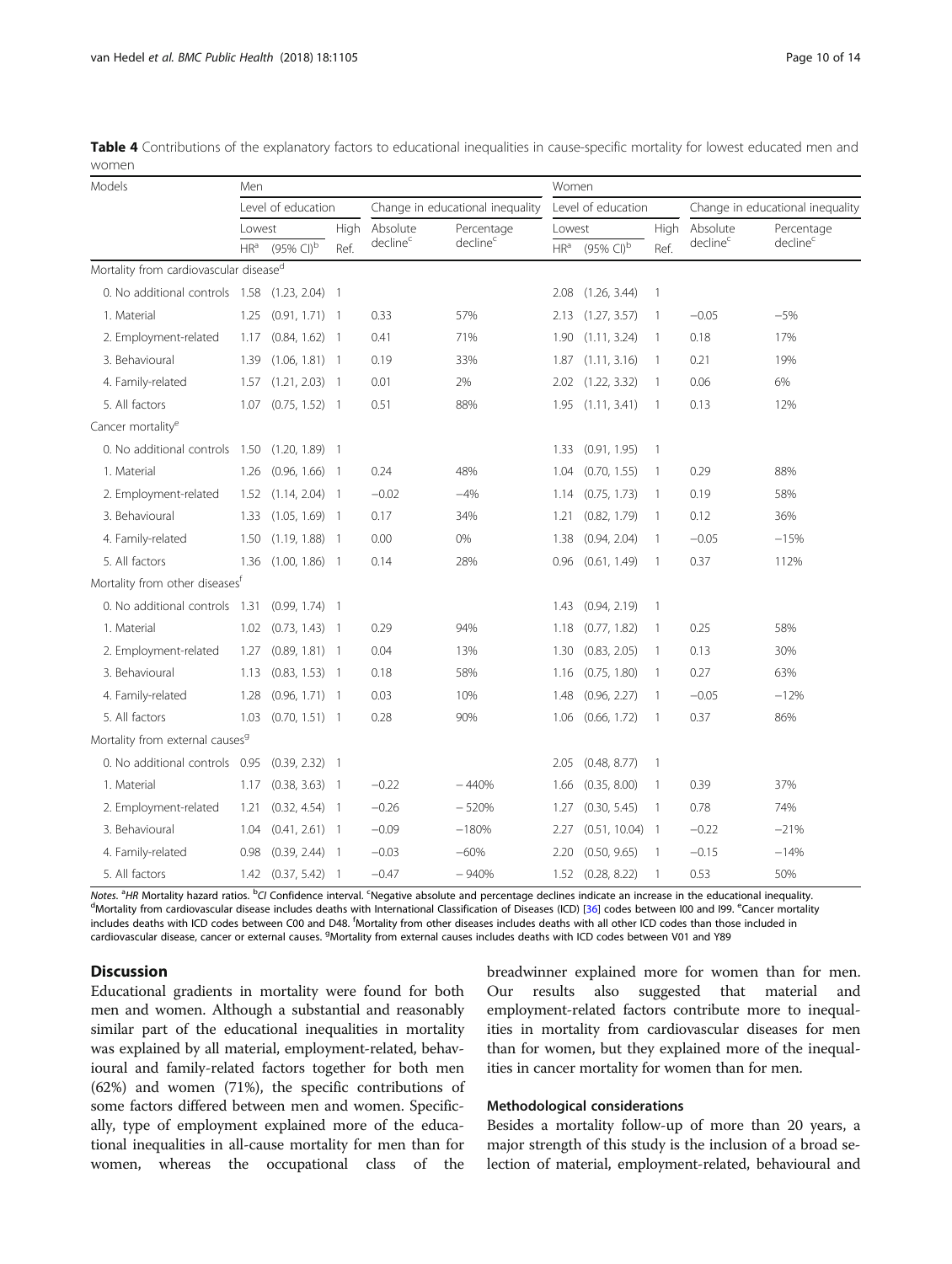| Models                                      | Men             |                                           |      |                                  |                      | Women           |                                           |                          |                      |                                  |  |
|---------------------------------------------|-----------------|-------------------------------------------|------|----------------------------------|----------------------|-----------------|-------------------------------------------|--------------------------|----------------------|----------------------------------|--|
|                                             |                 | Level of education                        |      | Change in educational inequality |                      |                 | Level of education                        |                          |                      | Change in educational inequality |  |
|                                             | Lowest          |                                           | High | Absolute                         | Percentage           | Lowest          |                                           | High                     | Absolute             | Percentage                       |  |
|                                             | HR <sup>a</sup> | $(95\% \text{ Cl})^{\overline{\text{b}}}$ | Ref. | decline <sup>c</sup>             | decline <sup>c</sup> | HR <sup>a</sup> | $(95\% \text{ Cl})^{\overline{\text{b}}}$ | Ref.                     | decline <sup>c</sup> | decline <sup>c</sup>             |  |
| Mortality from cardiovascular diseased      |                 |                                           |      |                                  |                      |                 |                                           |                          |                      |                                  |  |
| 0. No additional controls 1.58              |                 | $(1.23, 2.04)$ 1                          |      |                                  |                      | 2.08            | (1.26, 3.44)                              | $\overline{1}$           |                      |                                  |  |
| 1. Material                                 | 1.25            | $(0.91, 1.71)$ 1                          |      | 0.33                             | 57%                  | 2.13            | (1.27, 3.57)                              | -1                       | $-0.05$              | $-5%$                            |  |
| 2. Employment-related                       | 1.17            | $(0.84, 1.62)$ 1                          |      | 0.41                             | 71%                  | 1.90            | (1.11, 3.24)                              | 1                        | 0.18                 | 17%                              |  |
| 3. Behavioural                              | 1.39            | $(1.06, 1.81)$ 1                          |      | 0.19                             | 33%                  | 1.87            | (1.11, 3.16)                              | $\mathbf{1}$             | 0.21                 | 19%                              |  |
| 4. Family-related                           | 1.57            | $(1.21, 2.03)$ 1                          |      | 0.01                             | 2%                   | 2.02            | (1.22, 3.32)                              | -1                       | 0.06                 | 6%                               |  |
| 5. All factors                              | 1.07            | $(0.75, 1.52)$ 1                          |      | 0.51                             | 88%                  | 1.95            | (1.11, 3.41)                              | $\overline{1}$           | 0.13                 | 12%                              |  |
| Cancer mortality <sup>e</sup>               |                 |                                           |      |                                  |                      |                 |                                           |                          |                      |                                  |  |
| 0. No additional controls                   | 1.50            | $(1.20, 1.89)$ 1                          |      |                                  |                      | 1.33            | (0.91, 1.95)                              | $\overline{1}$           |                      |                                  |  |
| 1. Material                                 | 1.26            | $(0.96, 1.66)$ 1                          |      | 0.24                             | 48%                  | 1.04            | (0.70, 1.55)                              | $\overline{1}$           | 0.29                 | 88%                              |  |
| 2. Employment-related                       | 1.52            | $(1.14, 2.04)$ 1                          |      | $-0.02$                          | $-4%$                | 1.14            | (0.75, 1.73)                              | $\overline{1}$           | 0.19                 | 58%                              |  |
| 3. Behavioural                              | 1.33            | $(1.05, 1.69)$ 1                          |      | 0.17                             | 34%                  | 1.21            | (0.82, 1.79)                              | $\overline{1}$           | 0.12                 | 36%                              |  |
| 4. Family-related                           | 1.50            | $(1.19, 1.88)$ 1                          |      | 0.00                             | 0%                   | 1.38            | (0.94, 2.04)                              | 1                        | $-0.05$              | $-15%$                           |  |
| 5. All factors                              | 1.36            | $(1.00, 1.86)$ 1                          |      | 0.14                             | 28%                  | 0.96            | (0.61, 1.49)                              | $\overline{1}$           | 0.37                 | 112%                             |  |
| Mortality from other diseases <sup>f</sup>  |                 |                                           |      |                                  |                      |                 |                                           |                          |                      |                                  |  |
| 0. No additional controls 1.31              |                 | $(0.99, 1.74)$ 1                          |      |                                  |                      | 1.43            | (0.94, 2.19)                              | 1                        |                      |                                  |  |
| 1. Material                                 | 1.02            | $(0.73, 1.43)$ 1                          |      | 0.29                             | 94%                  | 1.18            | (0.77, 1.82)                              | -1                       | 0.25                 | 58%                              |  |
| 2. Employment-related                       | 1.27            | $(0.89, 1.81)$ 1                          |      | 0.04                             | 13%                  | 1.30            | (0.83, 2.05)                              | $\mathbf{1}$             | 0.13                 | 30%                              |  |
| 3. Behavioural                              | 1.13            | $(0.83, 1.53)$ 1                          |      | 0.18                             | 58%                  | 1.16            | (0.75, 1.80)                              | -1                       | 0.27                 | 63%                              |  |
| 4. Family-related                           | 1.28            | $(0.96, 1.71)$ 1                          |      | 0.03                             | 10%                  | 1.48            | (0.96, 2.27)                              | -1                       | $-0.05$              | $-12%$                           |  |
| 5. All factors                              | 1.03            | $(0.70, 1.51)$ 1                          |      | 0.28                             | 90%                  | 1.06            | (0.66, 1.72)                              | $\mathbf{1}$             | 0.37                 | 86%                              |  |
| Mortality from external causes <sup>9</sup> |                 |                                           |      |                                  |                      |                 |                                           |                          |                      |                                  |  |
| 0. No additional controls 0.95              |                 | $(0.39, 2.32)$ 1                          |      |                                  |                      | 2.05            | (0.48, 8.77)                              | $\overline{\phantom{a}}$ |                      |                                  |  |
| 1. Material                                 | 1.17            | $(0.38, 3.63)$ 1                          |      | $-0.22$                          | $-440%$              | 1.66            | (0.35, 8.00)                              | 1                        | 0.39                 | 37%                              |  |
| 2. Employment-related                       | 1.21            | $(0.32, 4.54)$ 1                          |      | $-0.26$                          | $-520%$              | 1.27            | (0.30, 5.45)                              | 1                        | 0.78                 | 74%                              |  |
| 3. Behavioural                              | 1.04            | $(0.41, 2.61)$ 1                          |      | $-0.09$                          | $-180%$              | 2.27            | (0.51, 10.04)                             | $\overline{1}$           | $-0.22$              | $-21%$                           |  |
| 4. Family-related                           | 0.98            | $(0.39, 2.44)$ 1                          |      | $-0.03$                          | $-60%$               | 2.20            | (0.50, 9.65)                              | $\overline{1}$           | $-0.15$              | $-14%$                           |  |
| 5. All factors                              | 1.42            | $(0.37, 5.42)$ 1                          |      | $-0.47$                          | $-940%$              | 1.52            | (0.28, 8.22)                              | $\overline{1}$           | 0.53                 | 50%                              |  |

<span id="page-9-0"></span>Table 4 Contributions of the explanatory factors to educational inequalities in cause-specific mortality for lowest educated men and women

Notes. <sup>a</sup>HR Mortality hazard ratios. <sup>b</sup>Cl Confidence interval. <sup>c</sup>Negative absolute and percentage declines indicate an increase in the educational inequality.<br><sup>d</sup>Mortality from cardiousceular disease includes deaths wit Mortality from cardiovascular disease includes deaths with International Classification of Diseases (ICD) [[36](#page-12-0)] codes between 100 and 199. <sup>e</sup>Cancer mortality includes deaths with ICD codes between C00 and D48. <sup>f</sup>Mortality from other diseases includes deaths with all other ICD codes than those included in cardiovascular disease, cancer or external causes. <sup>g</sup>Mortality from external causes includes deaths with ICD codes between V01 and Y89

# **Discussion**

Educational gradients in mortality were found for both men and women. Although a substantial and reasonably similar part of the educational inequalities in mortality was explained by all material, employment-related, behavioural and family-related factors together for both men (62%) and women (71%), the specific contributions of some factors differed between men and women. Specifically, type of employment explained more of the educational inequalities in all-cause mortality for men than for women, whereas the occupational class of the

breadwinner explained more for women than for men. Our results also suggested that material and employment-related factors contribute more to inequalities in mortality from cardiovascular diseases for men than for women, but they explained more of the inequalities in cancer mortality for women than for men.

# Methodological considerations

Besides a mortality follow-up of more than 20 years, a major strength of this study is the inclusion of a broad selection of material, employment-related, behavioural and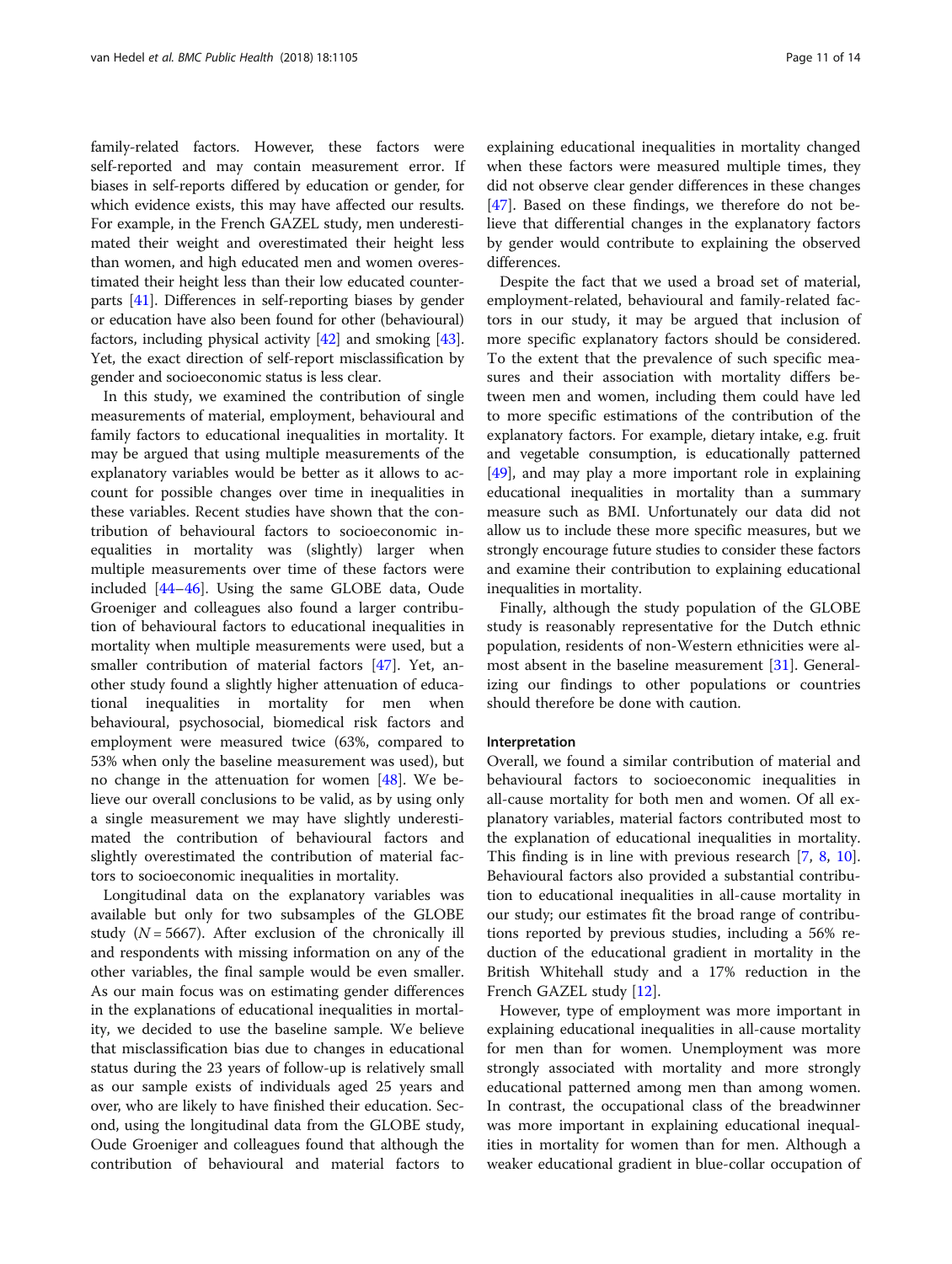family-related factors. However, these factors were self-reported and may contain measurement error. If biases in self-reports differed by education or gender, for which evidence exists, this may have affected our results. For example, in the French GAZEL study, men underestimated their weight and overestimated their height less than women, and high educated men and women overestimated their height less than their low educated counterparts [[41](#page-13-0)]. Differences in self-reporting biases by gender or education have also been found for other (behavioural) factors, including physical activity [[42](#page-13-0)] and smoking [[43](#page-13-0)]. Yet, the exact direction of self-report misclassification by gender and socioeconomic status is less clear.

In this study, we examined the contribution of single measurements of material, employment, behavioural and family factors to educational inequalities in mortality. It may be argued that using multiple measurements of the explanatory variables would be better as it allows to account for possible changes over time in inequalities in these variables. Recent studies have shown that the contribution of behavioural factors to socioeconomic inequalities in mortality was (slightly) larger when multiple measurements over time of these factors were included [[44](#page-13-0)–[46](#page-13-0)]. Using the same GLOBE data, Oude Groeniger and colleagues also found a larger contribution of behavioural factors to educational inequalities in mortality when multiple measurements were used, but a smaller contribution of material factors [[47](#page-13-0)]. Yet, another study found a slightly higher attenuation of educational inequalities in mortality for men when behavioural, psychosocial, biomedical risk factors and employment were measured twice (63%, compared to 53% when only the baseline measurement was used), but no change in the attenuation for women [\[48\]](#page-13-0). We believe our overall conclusions to be valid, as by using only a single measurement we may have slightly underestimated the contribution of behavioural factors and slightly overestimated the contribution of material factors to socioeconomic inequalities in mortality.

Longitudinal data on the explanatory variables was available but only for two subsamples of the GLOBE study ( $N = 5667$ ). After exclusion of the chronically ill and respondents with missing information on any of the other variables, the final sample would be even smaller. As our main focus was on estimating gender differences in the explanations of educational inequalities in mortality, we decided to use the baseline sample. We believe that misclassification bias due to changes in educational status during the 23 years of follow-up is relatively small as our sample exists of individuals aged 25 years and over, who are likely to have finished their education. Second, using the longitudinal data from the GLOBE study, Oude Groeniger and colleagues found that although the contribution of behavioural and material factors to

explaining educational inequalities in mortality changed when these factors were measured multiple times, they did not observe clear gender differences in these changes [[47\]](#page-13-0). Based on these findings, we therefore do not believe that differential changes in the explanatory factors by gender would contribute to explaining the observed differences.

Despite the fact that we used a broad set of material, employment-related, behavioural and family-related factors in our study, it may be argued that inclusion of more specific explanatory factors should be considered. To the extent that the prevalence of such specific measures and their association with mortality differs between men and women, including them could have led to more specific estimations of the contribution of the explanatory factors. For example, dietary intake, e.g. fruit and vegetable consumption, is educationally patterned [[49](#page-13-0)], and may play a more important role in explaining educational inequalities in mortality than a summary measure such as BMI. Unfortunately our data did not allow us to include these more specific measures, but we strongly encourage future studies to consider these factors and examine their contribution to explaining educational inequalities in mortality.

Finally, although the study population of the GLOBE study is reasonably representative for the Dutch ethnic population, residents of non-Western ethnicities were almost absent in the baseline measurement [\[31](#page-12-0)]. Generalizing our findings to other populations or countries should therefore be done with caution.

#### Interpretation

Overall, we found a similar contribution of material and behavioural factors to socioeconomic inequalities in all-cause mortality for both men and women. Of all explanatory variables, material factors contributed most to the explanation of educational inequalities in mortality. This finding is in line with previous research [[7](#page-12-0), [8](#page-12-0), [10](#page-12-0)]. Behavioural factors also provided a substantial contribution to educational inequalities in all-cause mortality in our study; our estimates fit the broad range of contributions reported by previous studies, including a 56% reduction of the educational gradient in mortality in the British Whitehall study and a 17% reduction in the French GAZEL study [\[12](#page-12-0)].

However, type of employment was more important in explaining educational inequalities in all-cause mortality for men than for women. Unemployment was more strongly associated with mortality and more strongly educational patterned among men than among women. In contrast, the occupational class of the breadwinner was more important in explaining educational inequalities in mortality for women than for men. Although a weaker educational gradient in blue-collar occupation of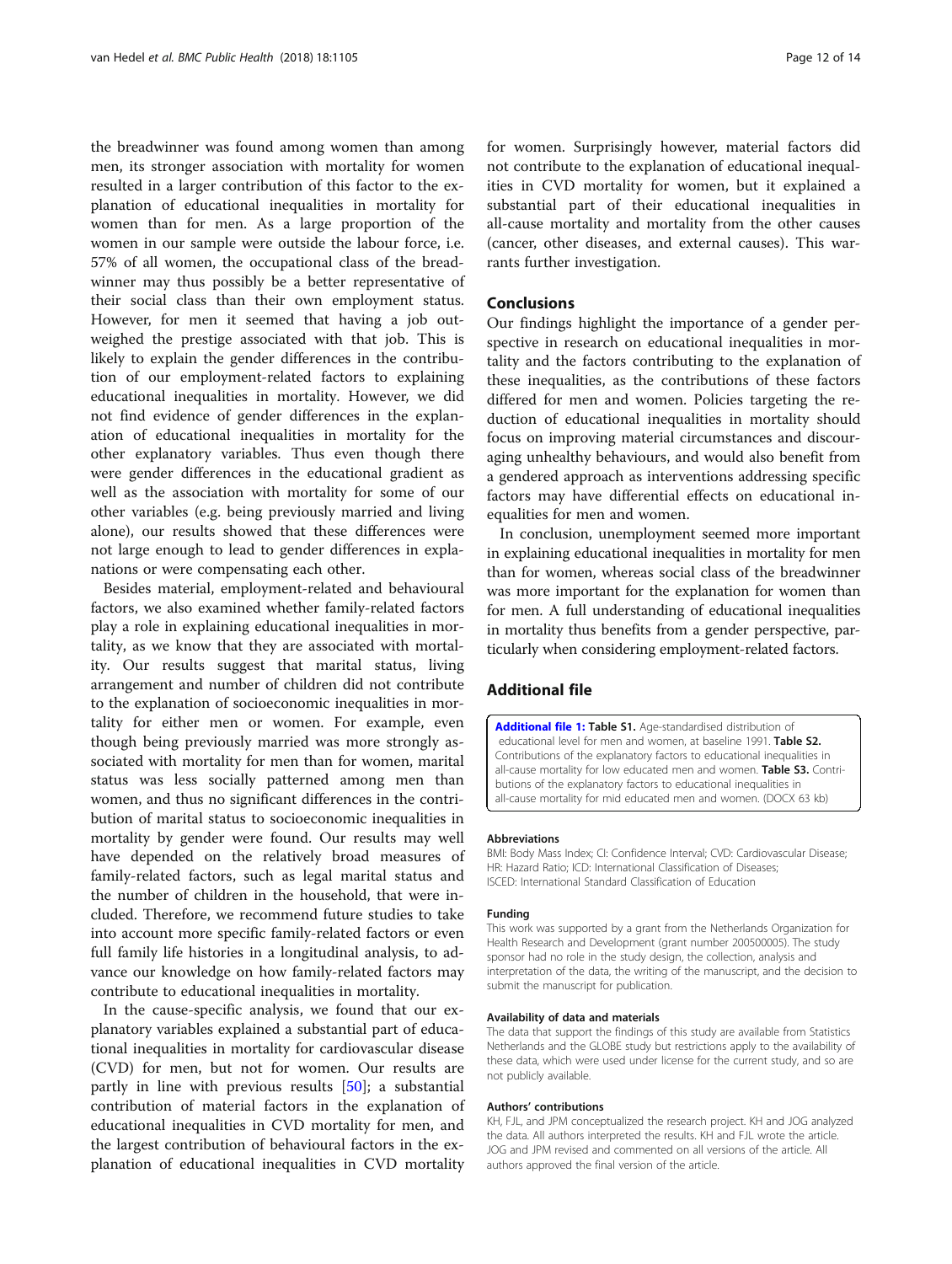<span id="page-11-0"></span>the breadwinner was found among women than among men, its stronger association with mortality for women resulted in a larger contribution of this factor to the explanation of educational inequalities in mortality for women than for men. As a large proportion of the women in our sample were outside the labour force, i.e. 57% of all women, the occupational class of the breadwinner may thus possibly be a better representative of their social class than their own employment status. However, for men it seemed that having a job outweighed the prestige associated with that job. This is likely to explain the gender differences in the contribution of our employment-related factors to explaining educational inequalities in mortality. However, we did not find evidence of gender differences in the explanation of educational inequalities in mortality for the other explanatory variables. Thus even though there were gender differences in the educational gradient as well as the association with mortality for some of our other variables (e.g. being previously married and living alone), our results showed that these differences were not large enough to lead to gender differences in explanations or were compensating each other.

Besides material, employment-related and behavioural factors, we also examined whether family-related factors play a role in explaining educational inequalities in mortality, as we know that they are associated with mortality. Our results suggest that marital status, living arrangement and number of children did not contribute to the explanation of socioeconomic inequalities in mortality for either men or women. For example, even though being previously married was more strongly associated with mortality for men than for women, marital status was less socially patterned among men than women, and thus no significant differences in the contribution of marital status to socioeconomic inequalities in mortality by gender were found. Our results may well have depended on the relatively broad measures of family-related factors, such as legal marital status and the number of children in the household, that were included. Therefore, we recommend future studies to take into account more specific family-related factors or even full family life histories in a longitudinal analysis, to advance our knowledge on how family-related factors may contribute to educational inequalities in mortality.

In the cause-specific analysis, we found that our explanatory variables explained a substantial part of educational inequalities in mortality for cardiovascular disease (CVD) for men, but not for women. Our results are partly in line with previous results [[50\]](#page-13-0); a substantial contribution of material factors in the explanation of educational inequalities in CVD mortality for men, and the largest contribution of behavioural factors in the explanation of educational inequalities in CVD mortality for women. Surprisingly however, material factors did not contribute to the explanation of educational inequalities in CVD mortality for women, but it explained a substantial part of their educational inequalities in all-cause mortality and mortality from the other causes (cancer, other diseases, and external causes). This warrants further investigation.

# Conclusions

Our findings highlight the importance of a gender perspective in research on educational inequalities in mortality and the factors contributing to the explanation of these inequalities, as the contributions of these factors differed for men and women. Policies targeting the reduction of educational inequalities in mortality should focus on improving material circumstances and discouraging unhealthy behaviours, and would also benefit from a gendered approach as interventions addressing specific factors may have differential effects on educational inequalities for men and women.

In conclusion, unemployment seemed more important in explaining educational inequalities in mortality for men than for women, whereas social class of the breadwinner was more important for the explanation for women than for men. A full understanding of educational inequalities in mortality thus benefits from a gender perspective, particularly when considering employment-related factors.

# Additional file

[Additional file 1:](https://doi.org/10.1186/s12889-018-5940-5) Table S1. Age-standardised distribution of educational level for men and women, at baseline 1991. Table S2. Contributions of the explanatory factors to educational inequalities in all-cause mortality for low educated men and women. Table S3. Contributions of the explanatory factors to educational inequalities in all-cause mortality for mid educated men and women. (DOCX 63 kb)

#### Abbreviations

BMI: Body Mass Index; CI: Confidence Interval; CVD: Cardiovascular Disease; HR: Hazard Ratio; ICD: International Classification of Diseases; ISCED: International Standard Classification of Education

#### Funding

This work was supported by a grant from the Netherlands Organization for Health Research and Development (grant number 200500005). The study sponsor had no role in the study design, the collection, analysis and interpretation of the data, the writing of the manuscript, and the decision to submit the manuscript for publication.

#### Availability of data and materials

The data that support the findings of this study are available from Statistics Netherlands and the GLOBE study but restrictions apply to the availability of these data, which were used under license for the current study, and so are not publicly available.

#### Authors' contributions

KH, FJL, and JPM conceptualized the research project. KH and JOG analyzed the data. All authors interpreted the results. KH and FJL wrote the article. JOG and JPM revised and commented on all versions of the article. All authors approved the final version of the article.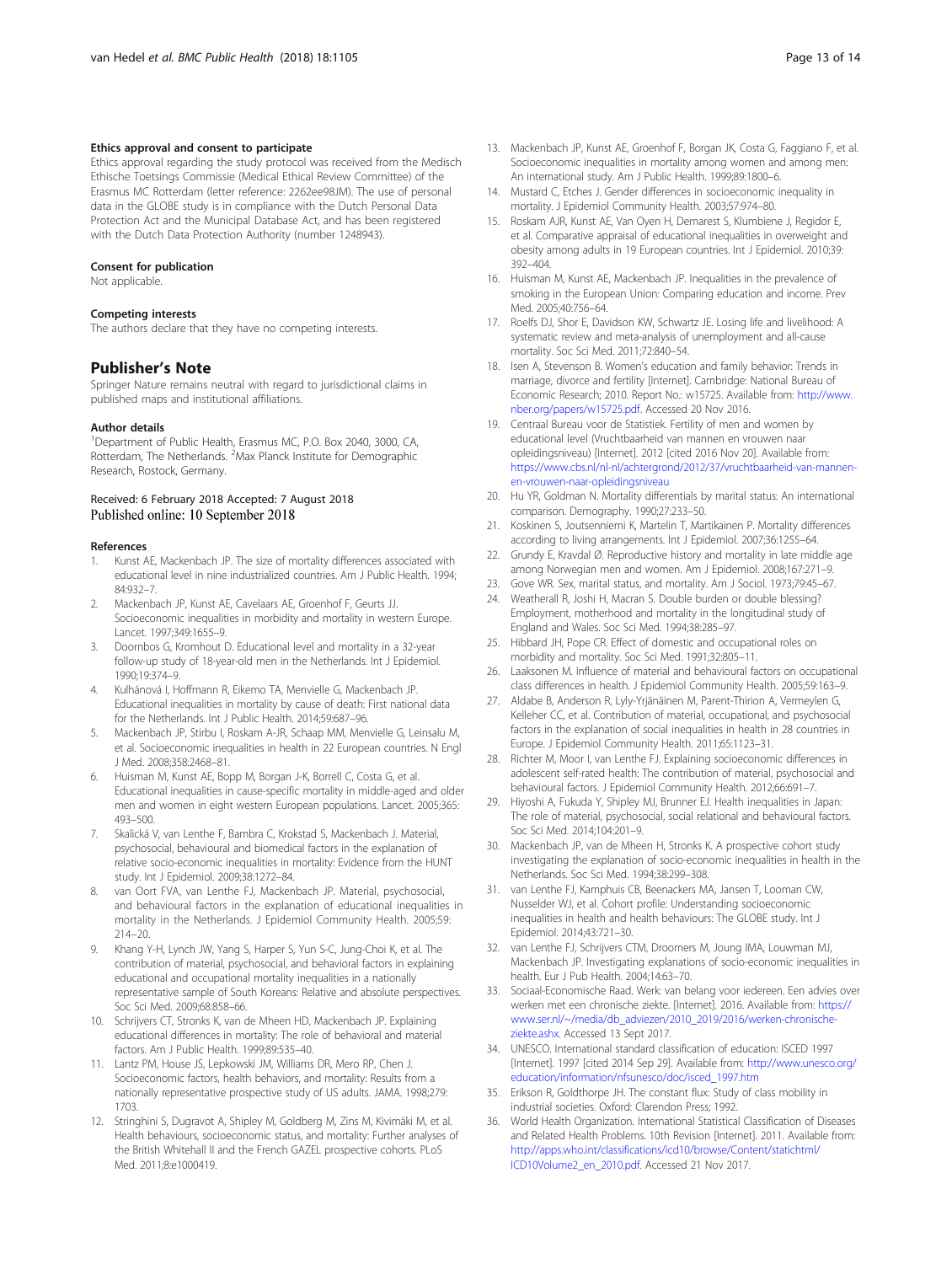### <span id="page-12-0"></span>Ethics approval and consent to participate

Ethics approval regarding the study protocol was received from the Medisch Ethische Toetsings Commissie (Medical Ethical Review Committee) of the Erasmus MC Rotterdam (letter reference: 2262ee98JM). The use of personal data in the GLOBE study is in compliance with the Dutch Personal Data Protection Act and the Municipal Database Act, and has been registered with the Dutch Data Protection Authority (number 1248943).

#### Consent for publication

Not applicable.

#### Competing interests

The authors declare that they have no competing interests.

#### Publisher's Note

Springer Nature remains neutral with regard to jurisdictional claims in published maps and institutional affiliations.

#### Author details

<sup>1</sup>Department of Public Health, Erasmus MC, P.O. Box 2040, 3000, CA, Rotterdam, The Netherlands. <sup>2</sup>Max Planck Institute for Demographic Research, Rostock, Germany.

# Received: 6 February 2018 Accepted: 7 August 2018 Published online: 10 September 2018

#### References

- 1. Kunst AE, Mackenbach JP. The size of mortality differences associated with educational level in nine industrialized countries. Am J Public Health. 1994; 84:932–7.
- 2. Mackenbach JP, Kunst AE, Cavelaars AE, Groenhof F, Geurts JJ. Socioeconomic inequalities in morbidity and mortality in western Europe. Lancet. 1997;349:1655–9.
- 3. Doornbos G, Kromhout D. Educational level and mortality in a 32-year follow-up study of 18-year-old men in the Netherlands. Int J Epidemiol. 1990;19:374–9.
- Kulhánová I, Hoffmann R, Eikemo TA, Menvielle G, Mackenbach JP. Educational inequalities in mortality by cause of death: First national data for the Netherlands. Int J Public Health. 2014;59:687–96.
- 5. Mackenbach JP, Stirbu I, Roskam A-JR, Schaap MM, Menvielle G, Leinsalu M, et al. Socioeconomic inequalities in health in 22 European countries. N Engl J Med. 2008;358:2468–81.
- 6. Huisman M, Kunst AE, Bopp M, Borgan J-K, Borrell C, Costa G, et al. Educational inequalities in cause-specific mortality in middle-aged and older men and women in eight western European populations. Lancet. 2005;365: 493–500.
- 7. Skalická V, van Lenthe F, Bambra C, Krokstad S, Mackenbach J. Material, psychosocial, behavioural and biomedical factors in the explanation of relative socio-economic inequalities in mortality: Evidence from the HUNT study. Int J Epidemiol. 2009;38:1272–84.
- 8. van Oort FVA, van Lenthe FJ, Mackenbach JP. Material, psychosocial, and behavioural factors in the explanation of educational inequalities in mortality in the Netherlands. J Epidemiol Community Health. 2005;59: 214–20.
- 9. Khang Y-H, Lynch JW, Yang S, Harper S, Yun S-C, Jung-Choi K, et al. The contribution of material, psychosocial, and behavioral factors in explaining educational and occupational mortality inequalities in a nationally representative sample of South Koreans: Relative and absolute perspectives. Soc Sci Med. 2009;68:858–66.
- 10. Schrijvers CT, Stronks K, van de Mheen HD, Mackenbach JP. Explaining educational differences in mortality: The role of behavioral and material factors. Am J Public Health. 1999;89:535–40.
- 11. Lantz PM, House JS, Lepkowski JM, Williams DR, Mero RP, Chen J. Socioeconomic factors, health behaviors, and mortality: Results from a nationally representative prospective study of US adults. JAMA. 1998;279: 1703.
- 12. Stringhini S, Dugravot A, Shipley M, Goldberg M, Zins M, Kivimäki M, et al. Health behaviours, socioeconomic status, and mortality: Further analyses of the British Whitehall II and the French GAZEL prospective cohorts. PLoS Med. 2011;8:e1000419.
- 13. Mackenbach JP, Kunst AE, Groenhof F, Borgan JK, Costa G, Faggiano F, et al. Socioeconomic inequalities in mortality among women and among men: An international study. Am J Public Health. 1999;89:1800–6.
- 14. Mustard C, Etches J. Gender differences in socioeconomic inequality in mortality. J Epidemiol Community Health. 2003;57:974–80.
- 15. Roskam AJR, Kunst AE, Van Oyen H, Demarest S, Klumbiene J, Regidor E, et al. Comparative appraisal of educational inequalities in overweight and obesity among adults in 19 European countries. Int J Epidemiol. 2010;39: 392–404.
- 16. Huisman M, Kunst AE, Mackenbach JP. Inequalities in the prevalence of smoking in the European Union: Comparing education and income. Prev Med. 2005;40:756–64.
- 17. Roelfs DJ, Shor E, Davidson KW, Schwartz JE. Losing life and livelihood: A systematic review and meta-analysis of unemployment and all-cause mortality. Soc Sci Med. 2011;72:840–54.
- 18. Isen A, Stevenson B. Women's education and family behavior: Trends in marriage, divorce and fertility [Internet]. Cambridge: National Bureau of Economic Research; 2010. Report No.: w15725. Available from: [http://www.](http://www.nber.org/papers/w15725.pdf) [nber.org/papers/w15725.pdf.](http://www.nber.org/papers/w15725.pdf) Accessed 20 Nov 2016.
- 19. Centraal Bureau voor de Statistiek. Fertility of men and women by educational level (Vruchtbaarheid van mannen en vrouwen naar opleidingsniveau) [Internet]. 2012 [cited 2016 Nov 20]. Available from: [https://www.cbs.nl/nl-nl/achtergrond/2012/37/vruchtbaarheid-van-mannen](https://www.cbs.nl/nl-nl/achtergrond/2012/37/vruchtbaarheid-van-mannen-en-vrouwen-naar-opleidingsniveau)[en-vrouwen-naar-opleidingsniveau](https://www.cbs.nl/nl-nl/achtergrond/2012/37/vruchtbaarheid-van-mannen-en-vrouwen-naar-opleidingsniveau)
- 20. Hu YR, Goldman N. Mortality differentials by marital status: An international comparison. Demography. 1990;27:233–50.
- 21. Koskinen S, Joutsenniemi K, Martelin T, Martikainen P. Mortality differences according to living arrangements. Int J Epidemiol. 2007;36:1255–64.
- 22. Grundy E, Kravdal Ø. Reproductive history and mortality in late middle age among Norwegian men and women. Am J Epidemiol. 2008;167:271–9.
- 23. Gove WR. Sex, marital status, and mortality. Am J Sociol. 1973;79:45–67.
- 24. Weatherall R, Joshi H, Macran S. Double burden or double blessing? Employment, motherhood and mortality in the longitudinal study of England and Wales. Soc Sci Med. 1994;38:285–97.
- 25. Hibbard JH, Pope CR. Effect of domestic and occupational roles on morbidity and mortality. Soc Sci Med. 1991;32:805–11.
- 26. Laaksonen M. Influence of material and behavioural factors on occupational class differences in health. J Epidemiol Community Health. 2005;59:163–9.
- 27. Aldabe B, Anderson R, Lyly-Yrjänäinen M, Parent-Thirion A, Vermeylen G, Kelleher CC, et al. Contribution of material, occupational, and psychosocial factors in the explanation of social inequalities in health in 28 countries in Europe. J Epidemiol Community Health. 2011;65:1123–31.
- 28. Richter M, Moor I, van Lenthe FJ. Explaining socioeconomic differences in adolescent self-rated health: The contribution of material, psychosocial and behavioural factors. J Epidemiol Community Health. 2012;66:691–7.
- 29. Hiyoshi A, Fukuda Y, Shipley MJ, Brunner EJ. Health inequalities in Japan: The role of material, psychosocial, social relational and behavioural factors. Soc Sci Med. 2014;104:201–9.
- 30. Mackenbach JP, van de Mheen H, Stronks K. A prospective cohort study investigating the explanation of socio-economic inequalities in health in the Netherlands. Soc Sci Med. 1994;38:299–308.
- 31. van Lenthe FJ, Kamphuis CB, Beenackers MA, Jansen T, Looman CW, Nusselder WJ, et al. Cohort profile: Understanding socioeconomic inequalities in health and health behaviours: The GLOBE study. Int J Epidemiol. 2014;43:721–30.
- 32. van Lenthe FJ, Schrijvers CTM, Droomers M, Joung IMA, Louwman MJ, Mackenbach JP. Investigating explanations of socio-economic inequalities in health. Eur J Pub Health. 2004;14:63–70.
- 33. Sociaal-Economische Raad. Werk: van belang voor iedereen. Een advies over werken met een chronische ziekte. [Internet]. 2016. Available from: [https://](https://www.ser.nl/~/media/db_adviezen/2010_2019/2016/werken-chronische-ziekte.ashx) [www.ser.nl/~/media/db\\_adviezen/2010\\_2019/2016/werken-chronische](https://www.ser.nl/~/media/db_adviezen/2010_2019/2016/werken-chronische-ziekte.ashx)[ziekte.ashx.](https://www.ser.nl/~/media/db_adviezen/2010_2019/2016/werken-chronische-ziekte.ashx) Accessed 13 Sept 2017.
- 34. UNESCO. International standard classification of education: ISCED 1997 [Internet]. 1997 [cited 2014 Sep 29]. Available from: [http://www.unesco.org/](http://www.unesco.org/education/information/nfsunesco/doc/isced_1997.htm) [education/information/nfsunesco/doc/isced\\_1997.htm](http://www.unesco.org/education/information/nfsunesco/doc/isced_1997.htm)
- 35. Erikson R, Goldthorpe JH. The constant flux: Study of class mobility in industrial societies. Oxford: Clarendon Press; 1992.
- 36. World Health Organization. International Statistical Classification of Diseases and Related Health Problems. 10th Revision [Internet]. 2011. Available from: [http://apps.who.int/classifications/icd10/browse/Content/statichtml/](http://apps.who.int/classifications/icd10/browse/Content/statichtml/ICD10Volume2_en_2010.pdf) [ICD10Volume2\\_en\\_2010.pdf.](http://apps.who.int/classifications/icd10/browse/Content/statichtml/ICD10Volume2_en_2010.pdf) Accessed 21 Nov 2017.